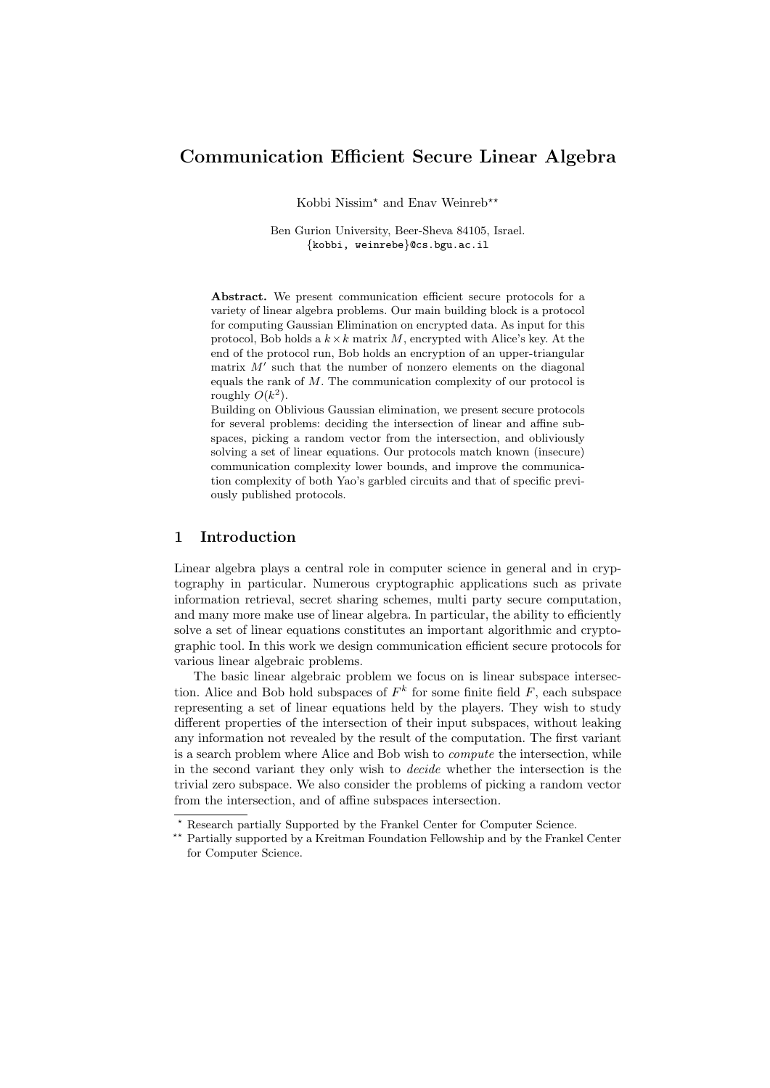# Communication Efficient Secure Linear Algebra

Kobbi Nissim<sup>\*</sup> and Enav Weinreb<sup>\*\*</sup>

Ben Gurion University, Beer-Sheva 84105, Israel. {kobbi, weinrebe}@cs.bgu.ac.il

Abstract. We present communication efficient secure protocols for a variety of linear algebra problems. Our main building block is a protocol for computing Gaussian Elimination on encrypted data. As input for this protocol, Bob holds a  $k \times k$  matrix M, encrypted with Alice's key. At the end of the protocol run, Bob holds an encryption of an upper-triangular matrix  $M'$  such that the number of nonzero elements on the diagonal equals the rank of  $M$ . The communication complexity of our protocol is roughly  $O(k^2)$ .

Building on Oblivious Gaussian elimination, we present secure protocols for several problems: deciding the intersection of linear and affine subspaces, picking a random vector from the intersection, and obliviously solving a set of linear equations. Our protocols match known (insecure) communication complexity lower bounds, and improve the communication complexity of both Yao's garbled circuits and that of specific previously published protocols.

## 1 Introduction

Linear algebra plays a central role in computer science in general and in cryptography in particular. Numerous cryptographic applications such as private information retrieval, secret sharing schemes, multi party secure computation, and many more make use of linear algebra. In particular, the ability to efficiently solve a set of linear equations constitutes an important algorithmic and cryptographic tool. In this work we design communication efficient secure protocols for various linear algebraic problems.

The basic linear algebraic problem we focus on is linear subspace intersection. Alice and Bob hold subspaces of  $F^k$  for some finite field  $F$ , each subspace representing a set of linear equations held by the players. They wish to study different properties of the intersection of their input subspaces, without leaking any information not revealed by the result of the computation. The first variant is a search problem where Alice and Bob wish to compute the intersection, while in the second variant they only wish to decide whether the intersection is the trivial zero subspace. We also consider the problems of picking a random vector from the intersection, and of affine subspaces intersection.

<sup>?</sup> Research partially Supported by the Frankel Center for Computer Science.

<sup>\*\*</sup> Partially supported by a Kreitman Foundation Fellowship and by the Frankel Center for Computer Science.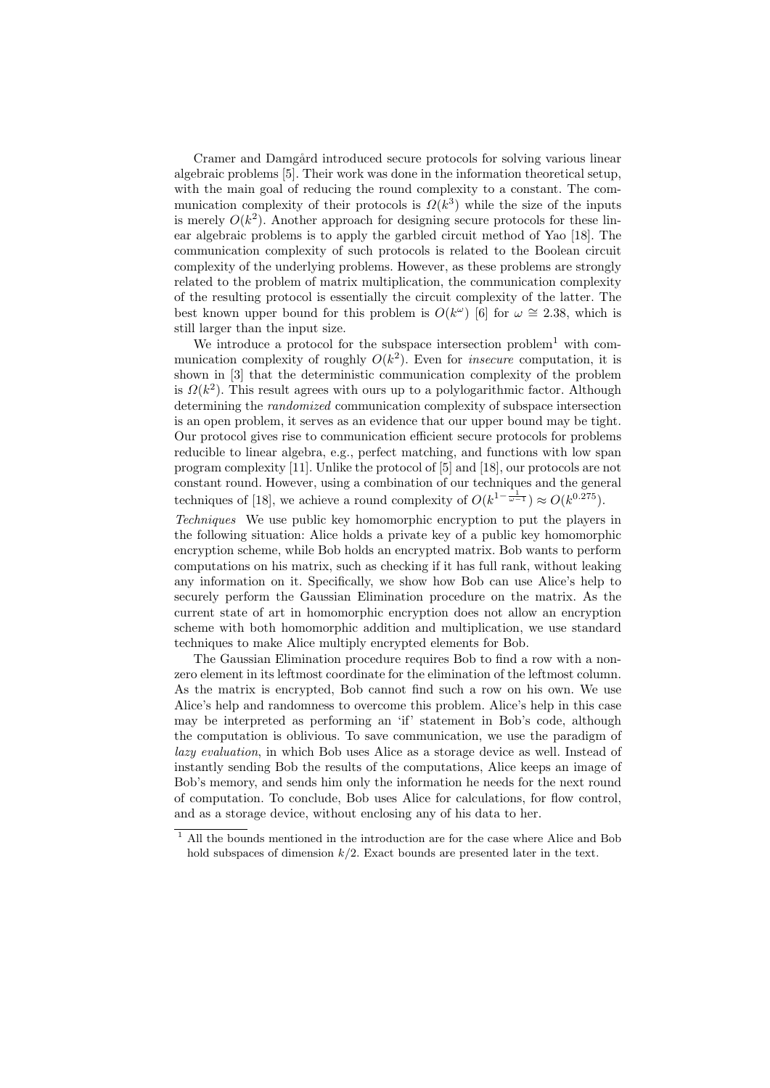Cramer and Damgård introduced secure protocols for solving various linear algebraic problems [5]. Their work was done in the information theoretical setup, with the main goal of reducing the round complexity to a constant. The communication complexity of their protocols is  $\Omega(k^3)$  while the size of the inputs is merely  $O(k^2)$ . Another approach for designing secure protocols for these linear algebraic problems is to apply the garbled circuit method of Yao [18]. The communication complexity of such protocols is related to the Boolean circuit complexity of the underlying problems. However, as these problems are strongly related to the problem of matrix multiplication, the communication complexity of the resulting protocol is essentially the circuit complexity of the latter. The best known upper bound for this problem is  $O(k^{\omega})$  [6] for  $\omega \cong 2.38$ , which is still larger than the input size.

We introduce a protocol for the subspace intersection problem<sup>1</sup> with communication complexity of roughly  $O(k^2)$ . Even for *insecure* computation, it is shown in [3] that the deterministic communication complexity of the problem is  $\Omega(k^2)$ . This result agrees with ours up to a polylogarithmic factor. Although determining the randomized communication complexity of subspace intersection is an open problem, it serves as an evidence that our upper bound may be tight. Our protocol gives rise to communication efficient secure protocols for problems reducible to linear algebra, e.g., perfect matching, and functions with low span program complexity [11]. Unlike the protocol of [5] and [18], our protocols are not constant round. However, using a combination of our techniques and the general techniques of [18], we achieve a round complexity of  $O(k^{1-\frac{1}{\omega-1}}) \approx O(k^{0.275})$ .

Techniques We use public key homomorphic encryption to put the players in the following situation: Alice holds a private key of a public key homomorphic encryption scheme, while Bob holds an encrypted matrix. Bob wants to perform computations on his matrix, such as checking if it has full rank, without leaking any information on it. Specifically, we show how Bob can use Alice's help to securely perform the Gaussian Elimination procedure on the matrix. As the current state of art in homomorphic encryption does not allow an encryption scheme with both homomorphic addition and multiplication, we use standard techniques to make Alice multiply encrypted elements for Bob.

The Gaussian Elimination procedure requires Bob to find a row with a nonzero element in its leftmost coordinate for the elimination of the leftmost column. As the matrix is encrypted, Bob cannot find such a row on his own. We use Alice's help and randomness to overcome this problem. Alice's help in this case may be interpreted as performing an 'if' statement in Bob's code, although the computation is oblivious. To save communication, we use the paradigm of lazy evaluation, in which Bob uses Alice as a storage device as well. Instead of instantly sending Bob the results of the computations, Alice keeps an image of Bob's memory, and sends him only the information he needs for the next round of computation. To conclude, Bob uses Alice for calculations, for flow control, and as a storage device, without enclosing any of his data to her.

 $1$  All the bounds mentioned in the introduction are for the case where Alice and Bob hold subspaces of dimension  $k/2$ . Exact bounds are presented later in the text.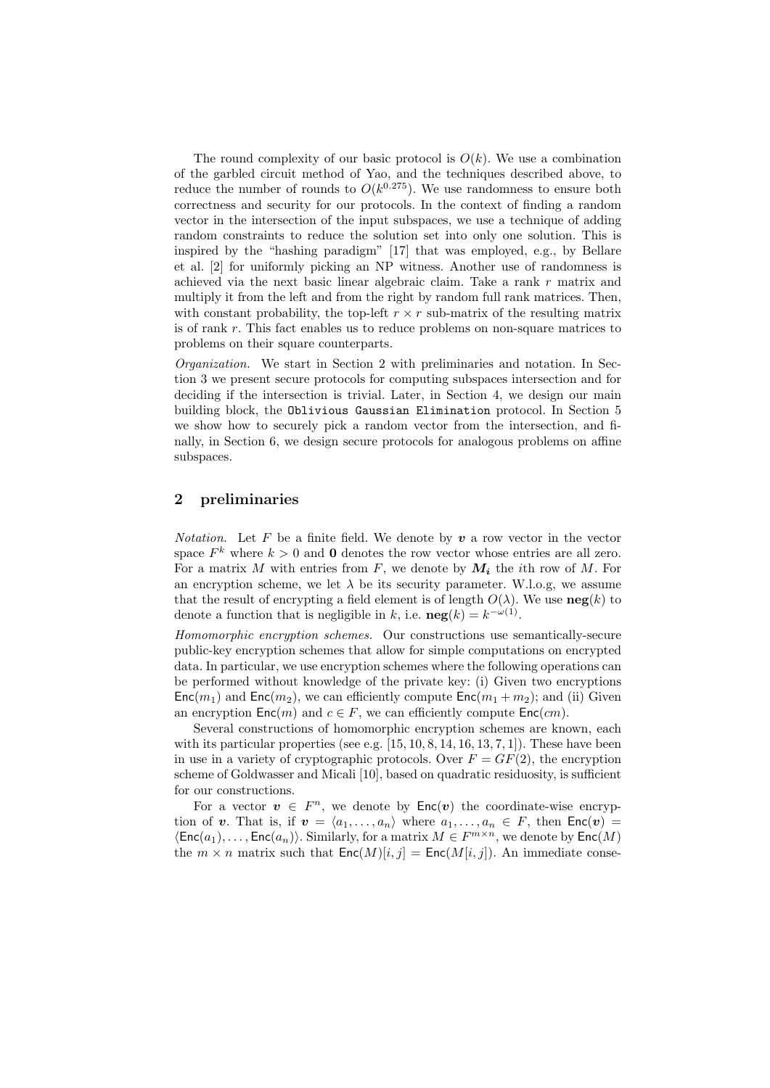The round complexity of our basic protocol is  $O(k)$ . We use a combination of the garbled circuit method of Yao, and the techniques described above, to reduce the number of rounds to  $O(k^{0.275})$ . We use randomness to ensure both correctness and security for our protocols. In the context of finding a random vector in the intersection of the input subspaces, we use a technique of adding random constraints to reduce the solution set into only one solution. This is inspired by the "hashing paradigm" [17] that was employed, e.g., by Bellare et al. [2] for uniformly picking an NP witness. Another use of randomness is achieved via the next basic linear algebraic claim. Take a rank r matrix and multiply it from the left and from the right by random full rank matrices. Then, with constant probability, the top-left  $r \times r$  sub-matrix of the resulting matrix is of rank r. This fact enables us to reduce problems on non-square matrices to problems on their square counterparts.

Organization. We start in Section 2 with preliminaries and notation. In Section 3 we present secure protocols for computing subspaces intersection and for deciding if the intersection is trivial. Later, in Section 4, we design our main building block, the Oblivious Gaussian Elimination protocol. In Section 5 we show how to securely pick a random vector from the intersection, and finally, in Section 6, we design secure protocols for analogous problems on affine subspaces.

## 2 preliminaries

*Notation.* Let F be a finite field. We denote by  $\boldsymbol{v}$  a row vector in the vector space  $F^k$  where  $k > 0$  and 0 denotes the row vector whose entries are all zero. For a matrix M with entries from  $F$ , we denote by  $M_i$  the *i*th row of M. For an encryption scheme, we let  $\lambda$  be its security parameter. W.l.o.g, we assume that the result of encrypting a field element is of length  $O(\lambda)$ . We use  $neg(k)$  to denote a function that is negligible in k, i.e.  $\mathbf{neg}(k) = k^{-\omega(1)}$ .

Homomorphic encryption schemes. Our constructions use semantically-secure public-key encryption schemes that allow for simple computations on encrypted data. In particular, we use encryption schemes where the following operations can be performed without knowledge of the private key: (i) Given two encryptions  $Enc(m_1)$  and  $Enc(m_2)$ , we can efficiently compute  $Enc(m_1 + m_2)$ ; and (ii) Given an encryption  $\textsf{Enc}(m)$  and  $c \in F$ , we can efficiently compute  $\textsf{Enc}(cm)$ .

Several constructions of homomorphic encryption schemes are known, each with its particular properties (see e.g.  $[15, 10, 8, 14, 16, 13, 7, 1]$ ). These have been in use in a variety of cryptographic protocols. Over  $F = GF(2)$ , the encryption scheme of Goldwasser and Micali [10], based on quadratic residuosity, is sufficient for our constructions.

For a vector  $v \in F^n$ , we denote by  $Enc(v)$  the coordinate-wise encryption of v. That is, if  $v = \langle a_1, \ldots, a_n \rangle$  where  $a_1, \ldots, a_n \in F$ , then  $Enc(v) =$  $\langle \text{Enc}(a_1), \ldots, \text{Enc}(a_n) \rangle$ . Similarly, for a matrix  $M \in F^{m \times n}$ , we denote by  $\text{Enc}(M)$ the  $m \times n$  matrix such that  $Enc(M)[i, j] = Enc(M[i, j])$ . An immediate conse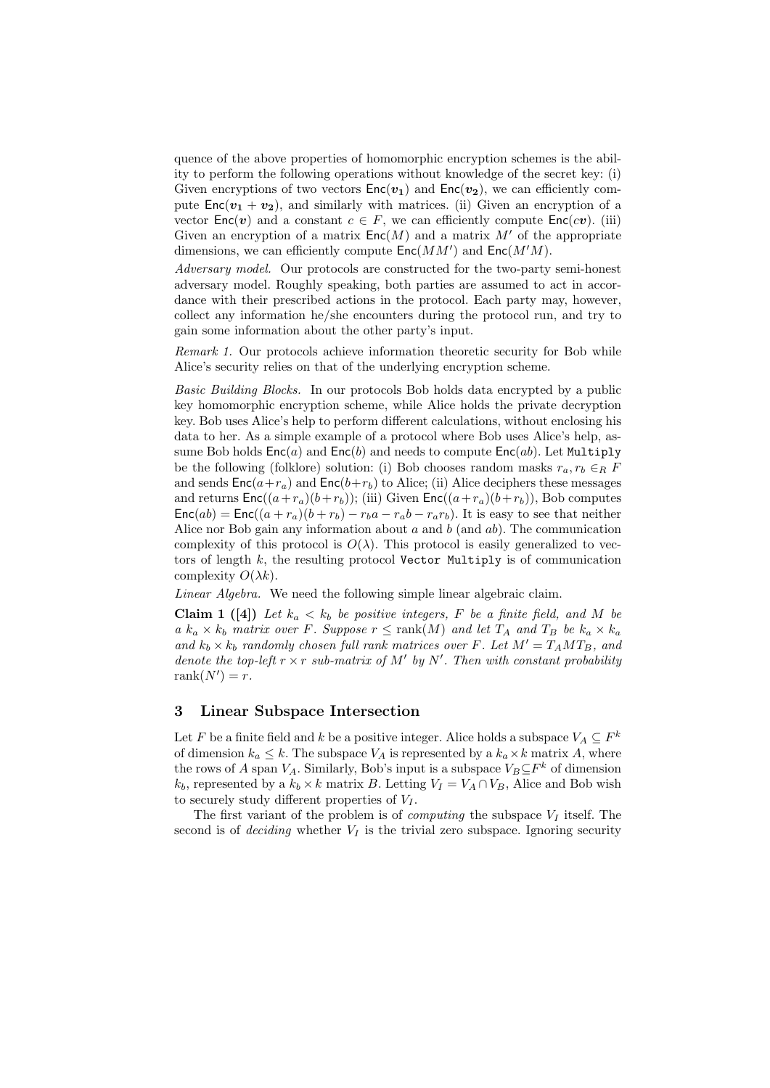quence of the above properties of homomorphic encryption schemes is the ability to perform the following operations without knowledge of the secret key: (i) Given encryptions of two vectors  $Enc(v_1)$  and  $Enc(v_2)$ , we can efficiently compute  $Enc(v_1 + v_2)$ , and similarly with matrices. (ii) Given an encryption of a vector  $\mathsf{Enc}(v)$  and a constant  $c \in F$ , we can efficiently compute  $\mathsf{Enc}(cv)$ . (iii) Given an encryption of a matrix  $Enc(M)$  and a matrix M' of the appropriate dimensions, we can efficiently compute  $\mathsf{Enc}(MM')$  and  $\mathsf{Enc}(M'M)$ .

Adversary model. Our protocols are constructed for the two-party semi-honest adversary model. Roughly speaking, both parties are assumed to act in accordance with their prescribed actions in the protocol. Each party may, however, collect any information he/she encounters during the protocol run, and try to gain some information about the other party's input.

Remark 1. Our protocols achieve information theoretic security for Bob while Alice's security relies on that of the underlying encryption scheme.

Basic Building Blocks. In our protocols Bob holds data encrypted by a public key homomorphic encryption scheme, while Alice holds the private decryption key. Bob uses Alice's help to perform different calculations, without enclosing his data to her. As a simple example of a protocol where Bob uses Alice's help, assume Bob holds  $Enc(a)$  and  $Enc(b)$  and needs to compute  $Enc(ab)$ . Let Multiply be the following (folklore) solution: (i) Bob chooses random masks  $r_a, r_b \in_R F$ and sends  $Enc(a+r_a)$  and  $Enc(b+r_b)$  to Alice; (ii) Alice deciphers these messages and returns  $Enc((a+r_a)(b+r_b))$ ; (iii) Given  $Enc((a+r_a)(b+r_b))$ , Bob computes  $Enc(ab) = Enc((a + r_a)(b + r_b) - r_b a - r_a b - r_a r_b)$ . It is easy to see that neither Alice nor Bob gain any information about  $a$  and  $b$  (and  $ab$ ). The communication complexity of this protocol is  $O(\lambda)$ . This protocol is easily generalized to vectors of length  $k$ , the resulting protocol Vector Multiply is of communication complexity  $O(\lambda k)$ .

Linear Algebra. We need the following simple linear algebraic claim.

**Claim 1** ([4]) Let  $k_a < k_b$  be positive integers, F be a finite field, and M be a  $k_a \times k_b$  matrix over F. Suppose  $r \le \text{rank}(M)$  and let  $T_A$  and  $T_B$  be  $k_a \times k_a$ and  $k_b \times k_b$  randomly chosen full rank matrices over F. Let  $M' = T_A M T_B$ , and denote the top-left  $r \times r$  sub-matrix of M' by N'. Then with constant probability  $rank(N') = r.$ 

### 3 Linear Subspace Intersection

Let F be a finite field and k be a positive integer. Alice holds a subspace  $V_A \subseteq F^k$ of dimension  $k_a \leq k$ . The subspace  $V_A$  is represented by a  $k_a \times k$  matrix A, where the rows of A span  $V_A$ . Similarly, Bob's input is a subspace  $V_B \subseteq F^k$  of dimension  $k_b$ , represented by a  $k_b \times k$  matrix B. Letting  $V_I = V_A \cap V_B$ , Alice and Bob wish to securely study different properties of  $V_I$ .

The first variant of the problem is of *computing* the subspace  $V_I$  itself. The second is of *deciding* whether  $V_I$  is the trivial zero subspace. Ignoring security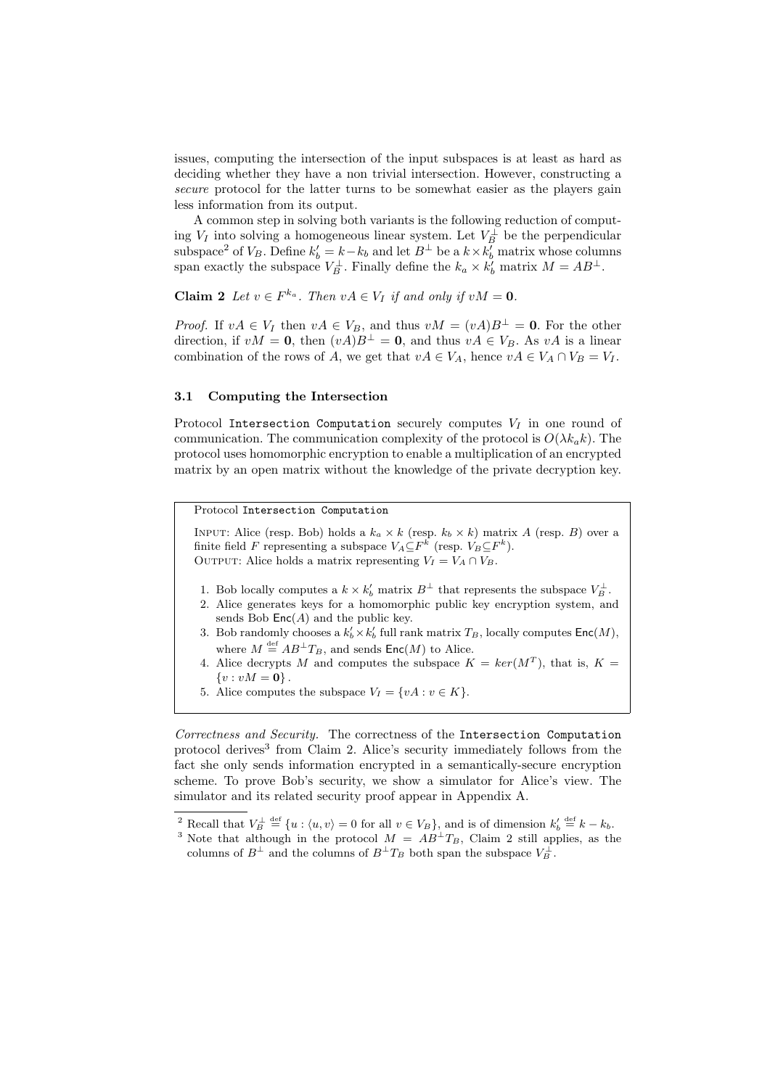issues, computing the intersection of the input subspaces is at least as hard as deciding whether they have a non trivial intersection. However, constructing a secure protocol for the latter turns to be somewhat easier as the players gain less information from its output.

A common step in solving both variants is the following reduction of computing  $V_I$  into solving a homogeneous linear system. Let  $V_B^{\perp}$  be the perpendicular subspace<sup>2</sup> of  $V_B$ . Define  $k'_b = k - k_b$  and let  $B^{\perp}$  be a  $k \times k'_b$  matrix whose columns span exactly the subspace  $V_B^{\perp}$ . Finally define the  $k_a \times k'_b$  matrix  $M = AB^{\perp}$ .

**Claim 2** Let  $v \in F^{k_a}$ . Then  $vA \in V_I$  if and only if  $vM = 0$ .

*Proof.* If  $vA \in V_I$  then  $vA \in V_B$ , and thus  $vM = (vA)B^{\perp} = 0$ . For the other direction, if  $vM = 0$ , then  $(vA)B^{\perp} = 0$ , and thus  $vA \in V_B$ . As  $vA$  is a linear combination of the rows of A, we get that  $vA \in V_A$ , hence  $vA \in V_A \cap V_B = V_I$ .

### 3.1 Computing the Intersection

Protocol Intersection Computation securely computes  $V_I$  in one round of communication. The communication complexity of the protocol is  $O(\lambda k_a k)$ . The protocol uses homomorphic encryption to enable a multiplication of an encrypted matrix by an open matrix without the knowledge of the private decryption key.

Protocol Intersection Computation

INPUT: Alice (resp. Bob) holds a  $k_a \times k$  (resp.  $k_b \times k$ ) matrix A (resp. B) over a finite field F representing a subspace  $V_A \subseteq F^k$  (resp.  $V_B \subseteq F^k$ ). OUTPUT: Alice holds a matrix representing  $V_I = V_A \cap V_B$ .

- 1. Bob locally computes a  $k \times k'_b$  matrix  $B^{\perp}$  that represents the subspace  $V_B^{\perp}$ .
- 2. Alice generates keys for a homomorphic public key encryption system, and sends Bob  $Enc(A)$  and the public key.
- 3. Bob randomly chooses a  $k'_b \times k'_b$  full rank matrix  $T_B$ , locally computes  $\mathsf{Enc}(M)$ , where  $M \stackrel{\text{def}}{=} AB^{\perp}T_B$ , and sends  $\mathsf{Enc}(M)$  to Alice.
- 4. Alice decrypts M and computes the subspace  $K = \text{ker}(M^T)$ , that is,  $K =$  ${v : vM = 0}.$
- 5. Alice computes the subspace  $V_I = \{vA : v \in K\}.$

Correctness and Security. The correctness of the Intersection Computation protocol derives<sup>3</sup> from Claim 2. Alice's security immediately follows from the fact she only sends information encrypted in a semantically-secure encryption scheme. To prove Bob's security, we show a simulator for Alice's view. The simulator and its related security proof appear in Appendix A.

<sup>&</sup>lt;sup>2</sup> Recall that  $V_B^{\perp} \stackrel{\text{def}}{=} \{u : \langle u, v \rangle = 0 \text{ for all } v \in V_B\}$ , and is of dimension  $k'_b \stackrel{\text{def}}{=} k - k_b$ .

<sup>&</sup>lt;sup>3</sup> Note that although in the protocol  $M = AB^{\perp}T_B$ , Claim 2 still applies, as the columns of  $B^{\perp}$  and the columns of  $B^{\perp}T_B$  both span the subspace  $V_B^{\perp}$ .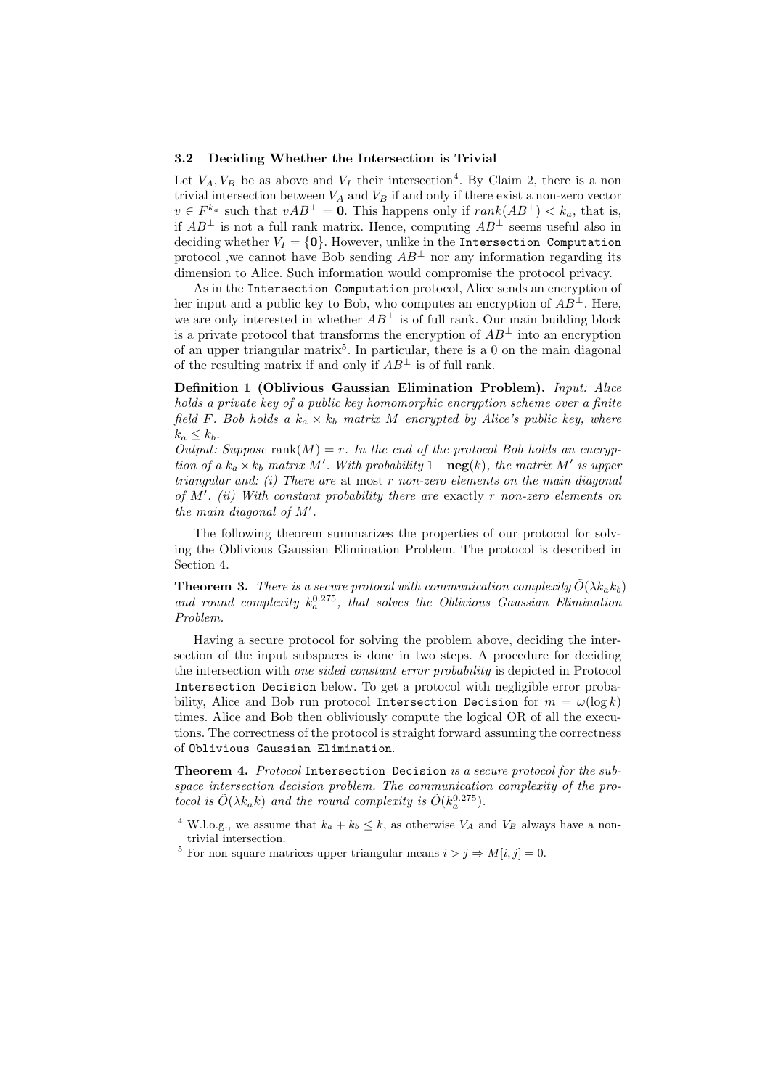#### 3.2 Deciding Whether the Intersection is Trivial

Let  $V_A$ ,  $V_B$  be as above and  $V_I$  their intersection<sup>4</sup>. By Claim 2, there is a non trivial intersection between  $V_A$  and  $V_B$  if and only if there exist a non-zero vector  $v \in F^{k_a}$  such that  $vAB^{\perp} = 0$ . This happens only if  $rank(AB^{\perp}) < k_a$ , that is, if  $AB^{\perp}$  is not a full rank matrix. Hence, computing  $AB^{\perp}$  seems useful also in deciding whether  $V_I = \{0\}$ . However, unlike in the Intersection Computation protocol ,we cannot have Bob sending  $AB^{\perp}$  nor any information regarding its dimension to Alice. Such information would compromise the protocol privacy.

As in the Intersection Computation protocol, Alice sends an encryption of her input and a public key to Bob, who computes an encryption of  $AB^{\perp}$ . Here, we are only interested in whether  $AB^{\perp}$  is of full rank. Our main building block is a private protocol that transforms the encryption of  $AB^{\perp}$  into an encryption of an upper triangular matrix<sup>5</sup>. In particular, there is a 0 on the main diagonal of the resulting matrix if and only if  $AB^{\perp}$  is of full rank.

Definition 1 (Oblivious Gaussian Elimination Problem). Input: Alice holds a private key of a public key homomorphic encryption scheme over a finite field F. Bob holds a  $k_a \times k_b$  matrix M encrypted by Alice's public key, where  $k_a \leq k_b$ .

Output: Suppose  $rank(M) = r$ . In the end of the protocol Bob holds an encryption of a  $k_a \times k_b$  matrix M'. With probability  $1-\mathbf{neg}(k)$ , the matrix M' is upper triangular and: (i) There are at most  $r$  non-zero elements on the main diagonal of  $M'$ . (ii) With constant probability there are exactly r non-zero elements on the main diagonal of  $M'$ .

The following theorem summarizes the properties of our protocol for solving the Oblivious Gaussian Elimination Problem. The protocol is described in Section 4.

**Theorem 3.** There is a secure protocol with communication complexity  $\tilde{O}(\lambda k_a k_b)$ and round complexity  $k_a^{0.275}$ , that solves the Oblivious Gaussian Elimination Problem.

Having a secure protocol for solving the problem above, deciding the intersection of the input subspaces is done in two steps. A procedure for deciding the intersection with one sided constant error probability is depicted in Protocol Intersection Decision below. To get a protocol with negligible error probability, Alice and Bob run protocol Intersection Decision for  $m = \omega(\log k)$ times. Alice and Bob then obliviously compute the logical OR of all the executions. The correctness of the protocol is straight forward assuming the correctness of Oblivious Gaussian Elimination.

Theorem 4. Protocol Intersection Decision is a secure protocol for the subspace intersection decision problem. The communication complexity of the protocol is  $\tilde{O}(\lambda k_a k)$  and the round complexity is  $\tilde{O}(k_a^{0.275})$ .

<sup>&</sup>lt;sup>4</sup> W.l.o.g., we assume that  $k_a + k_b \leq k$ , as otherwise  $V_A$  and  $V_B$  always have a nontrivial intersection.

<sup>&</sup>lt;sup>5</sup> For non-square matrices upper triangular means  $i > j \Rightarrow M[i, j] = 0$ .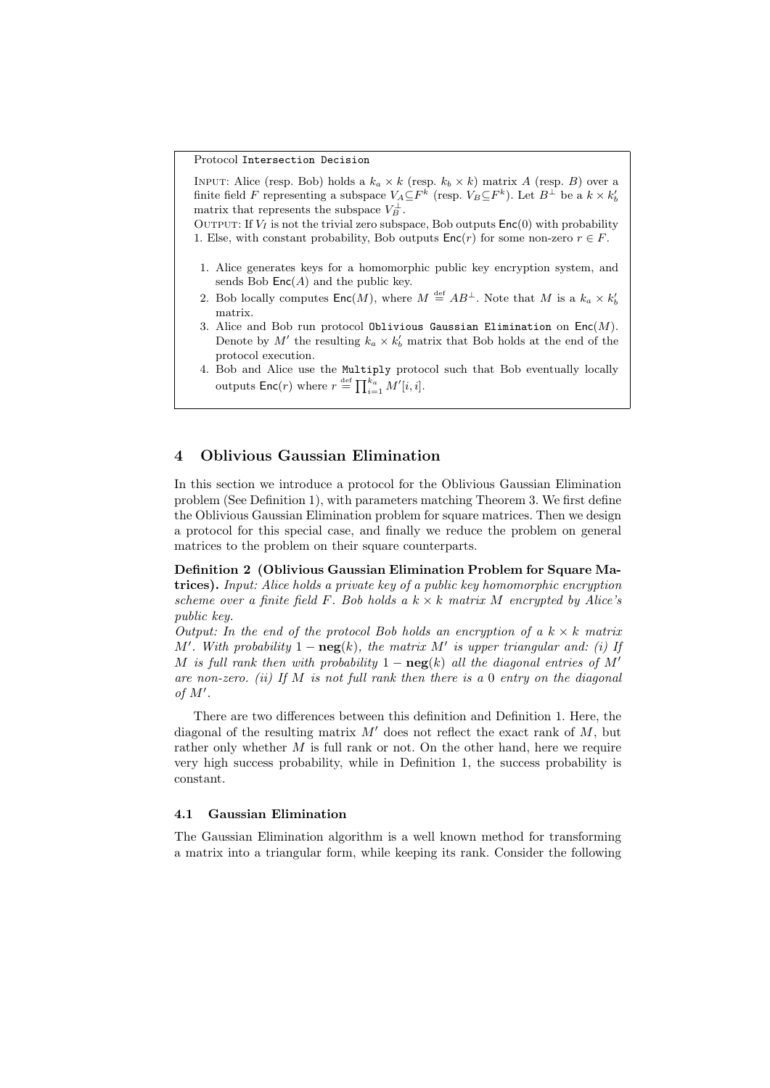#### Protocol Intersection Decision

INPUT: Alice (resp. Bob) holds a  $k_a \times k$  (resp.  $k_b \times k$ ) matrix A (resp. B) over a finite field F representing a subspace  $V_A \subseteq F^k$  (resp.  $V_B \subseteq F^k$ ). Let  $B^{\perp}$  be a  $k \times k_b'$ matrix that represents the subspace  $V_B^{\perp}$ .

OUTPUT: If  $V_I$  is not the trivial zero subspace, Bob outputs  $Enc(0)$  with probability 1. Else, with constant probability, Bob outputs  $\mathsf{Enc}(r)$  for some non-zero  $r \in F$ .

- 1. Alice generates keys for a homomorphic public key encryption system, and sends Bob  $Enc(A)$  and the public key.
- 2. Bob locally computes  $\mathsf{Enc}(M)$ , where  $M \stackrel{\text{def}}{=} AB^{\perp}$ . Note that M is a  $k_a \times k_b'$ matrix.
- 3. Alice and Bob run protocol Oblivious Gaussian Elimination on  $Enc(M)$ . Denote by M' the resulting  $k_a \times k'_b$  matrix that Bob holds at the end of the protocol execution.
- 4. Bob and Alice use the Multiply protocol such that Bob eventually locally outputs  $\mathsf{Enc}(r)$  where  $r \stackrel{\text{def}}{=} \prod_{i=1}^{k_a} M'[i, i].$

## 4 Oblivious Gaussian Elimination

In this section we introduce a protocol for the Oblivious Gaussian Elimination problem (See Definition 1), with parameters matching Theorem 3. We first define the Oblivious Gaussian Elimination problem for square matrices. Then we design a protocol for this special case, and finally we reduce the problem on general matrices to the problem on their square counterparts.

Definition 2 (Oblivious Gaussian Elimination Problem for Square Matrices). Input: Alice holds a private key of a public key homomorphic encryption scheme over a finite field F. Bob holds a  $k \times k$  matrix M encrypted by Alice's public key.

Output: In the end of the protocol Bob holds an encryption of a  $k \times k$  matrix M'. With probability  $1 - \mathbf{neg}(k)$ , the matrix M' is upper triangular and: (i) If M is full rank then with probability  $1 - \mathbf{neg}(k)$  all the diagonal entries of M' are non-zero. (ii) If M is not full rank then there is a 0 entry on the diagonal of  $M'$ .

There are two differences between this definition and Definition 1. Here, the diagonal of the resulting matrix  $M'$  does not reflect the exact rank of  $M$ , but rather only whether  $M$  is full rank or not. On the other hand, here we require very high success probability, while in Definition 1, the success probability is constant.

### 4.1 Gaussian Elimination

The Gaussian Elimination algorithm is a well known method for transforming a matrix into a triangular form, while keeping its rank. Consider the following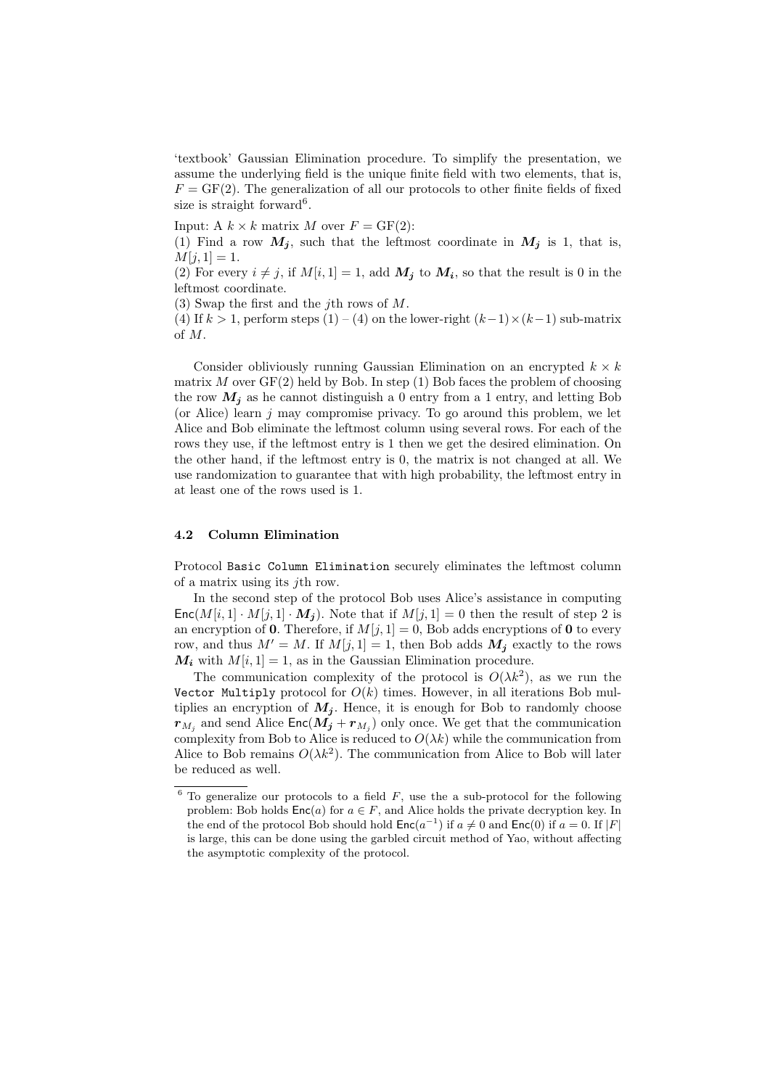'textbook' Gaussian Elimination procedure. To simplify the presentation, we assume the underlying field is the unique finite field with two elements, that is,  $F = GF(2)$ . The generalization of all our protocols to other finite fields of fixed size is straight forward<sup>6</sup>.

Input: A  $k \times k$  matrix M over  $F = \text{GF}(2)$ :

(1) Find a row  $M_i$ , such that the leftmost coordinate in  $M_i$  is 1, that is,  $M[j, 1] = 1.$ 

(2) For every  $i \neq j$ , if  $M[i, 1] = 1$ , add  $M_j$  to  $M_i$ , so that the result is 0 in the leftmost coordinate.

(3) Swap the first and the jth rows of M.

(4) If  $k > 1$ , perform steps  $(1) - (4)$  on the lower-right  $(k-1) \times (k-1)$  sub-matrix of M.

Consider obliviously running Gaussian Elimination on an encrypted  $k \times k$ matrix M over  $GF(2)$  held by Bob. In step (1) Bob faces the problem of choosing the row  $M_i$  as he cannot distinguish a 0 entry from a 1 entry, and letting Bob (or Alice) learn  $j$  may compromise privacy. To go around this problem, we let Alice and Bob eliminate the leftmost column using several rows. For each of the rows they use, if the leftmost entry is 1 then we get the desired elimination. On the other hand, if the leftmost entry is 0, the matrix is not changed at all. We use randomization to guarantee that with high probability, the leftmost entry in at least one of the rows used is 1.

### 4.2 Column Elimination

Protocol Basic Column Elimination securely eliminates the leftmost column of a matrix using its jth row.

In the second step of the protocol Bob uses Alice's assistance in computing  $Enc(M[i, 1] \cdot M[j, 1] \cdot M_j)$ . Note that if  $M[j, 1] = 0$  then the result of step 2 is an encryption of 0. Therefore, if  $M[j, 1] = 0$ , Bob adds encryptions of 0 to every row, and thus  $M' = M$ . If  $M[j, 1] = 1$ , then Bob adds  $M_j$  exactly to the rows  $M_i$  with  $M[i, 1] = 1$ , as in the Gaussian Elimination procedure.

The communication complexity of the protocol is  $O(\lambda k^2)$ , as we run the Vector Multiply protocol for  $O(k)$  times. However, in all iterations Bob multiplies an encryption of  $M_j$ . Hence, it is enough for Bob to randomly choose  $r_{M_j}$  and send Alice  $\textsf{Enc}(M_j + r_{M_j})$  only once. We get that the communication complexity from Bob to Alice is reduced to  $O(\lambda k)$  while the communication from Alice to Bob remains  $O(\lambda k^2)$ . The communication from Alice to Bob will later be reduced as well.

 $6$  To generalize our protocols to a field  $F$ , use the a sub-protocol for the following problem: Bob holds  $Enc(a)$  for  $a \in F$ , and Alice holds the private decryption key. In the end of the protocol Bob should hold  $\mathsf{Enc}(a^{-1})$  if  $a \neq 0$  and  $\mathsf{Enc}(0)$  if  $a = 0$ . If  $|F|$ is large, this can be done using the garbled circuit method of Yao, without affecting the asymptotic complexity of the protocol.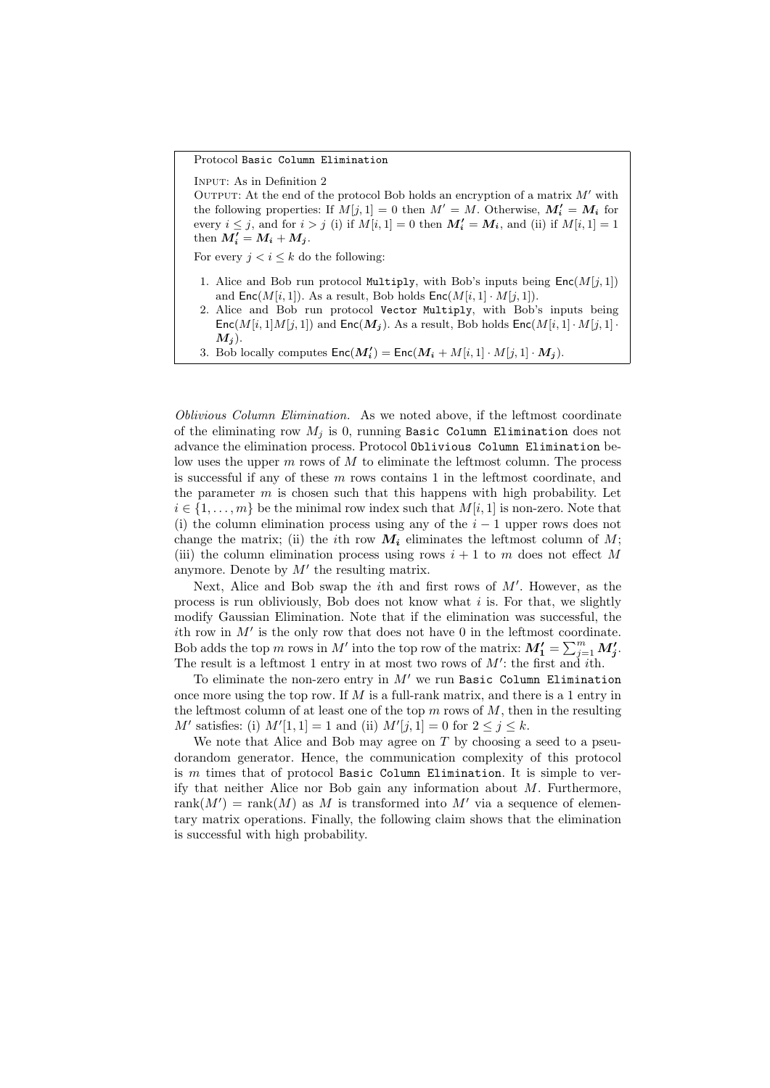Protocol Basic Column Elimination

Input: As in Definition 2

OUTPUT: At the end of the protocol Bob holds an encryption of a matrix  $M'$  with the following properties: If  $M[j, 1] = 0$  then  $M' = M$ . Otherwise,  $M'_i = M_i$  for every  $i \leq j$ , and for  $i > j$  (i) if  $M[i, 1] = 0$  then  $M'_i = M_i$ , and (ii) if  $M[i, 1] = 1$ then  $M_i' = M_i + M_j$ .

For every  $j < i \leq k$  do the following:

- 1. Alice and Bob run protocol Multiply, with Bob's inputs being  $Enc(M[j, 1])$ and  $Enc(M[i, 1])$ . As a result, Bob holds  $Enc(M[i, 1] \cdot M[j, 1])$ .
- 2. Alice and Bob run protocol Vector Multiply, with Bob's inputs being  $Enc(M[i, 1|M[j, 1])$  and  $Enc(M_i)$ . As a result, Bob holds  $Enc(M[i, 1] \cdot M[j, 1])$  $M_i$ ).
- 3. Bob locally computes  $\textsf{Enc}(M_i') = \textsf{Enc}(M_i + M[i, 1] \cdot M[j, 1] \cdot M_j)$ .

Oblivious Column Elimination. As we noted above, if the leftmost coordinate of the eliminating row  $M_i$  is 0, running Basic Column Elimination does not advance the elimination process. Protocol Oblivious Column Elimination below uses the upper  $m$  rows of  $M$  to eliminate the leftmost column. The process is successful if any of these  $m$  rows contains 1 in the leftmost coordinate, and the parameter  $m$  is chosen such that this happens with high probability. Let  $i \in \{1, \ldots, m\}$  be the minimal row index such that  $M[i, 1]$  is non-zero. Note that (i) the column elimination process using any of the  $i - 1$  upper rows does not change the matrix; (ii) the *i*th row  $M_i$  eliminates the leftmost column of M; (iii) the column elimination process using rows  $i + 1$  to m does not effect M anymore. Denote by  $M'$  the resulting matrix.

Next, Alice and Bob swap the *i*th and first rows of  $M'$ . However, as the process is run obliviously, Bob does not know what  $i$  is. For that, we slightly modify Gaussian Elimination. Note that if the elimination was successful, the ith row in  $M'$  is the only row that does not have 0 in the leftmost coordinate. Bob adds the top m rows in M' into the top row of the matrix:  $M_1' = \sum_{j=1}^m M_j'$ . The result is a leftmost 1 entry in at most two rows of  $M'$ : the first and *i*th.

To eliminate the non-zero entry in  $M'$  we run Basic Column Elimination once more using the top row. If  $M$  is a full-rank matrix, and there is a 1 entry in the leftmost column of at least one of the top  $m$  rows of  $M$ , then in the resulting *M'* satisfies: (i)  $M'[1, 1] = 1$  and (ii)  $M'[j, 1] = 0$  for  $2 \le j \le k$ .

We note that Alice and Bob may agree on  $T$  by choosing a seed to a pseudorandom generator. Hence, the communication complexity of this protocol is  $m$  times that of protocol Basic Column Elimination. It is simple to verify that neither Alice nor Bob gain any information about  $M$ . Furthermore, rank $(M')$  = rank $(M)$  as M is transformed into M' via a sequence of elementary matrix operations. Finally, the following claim shows that the elimination is successful with high probability.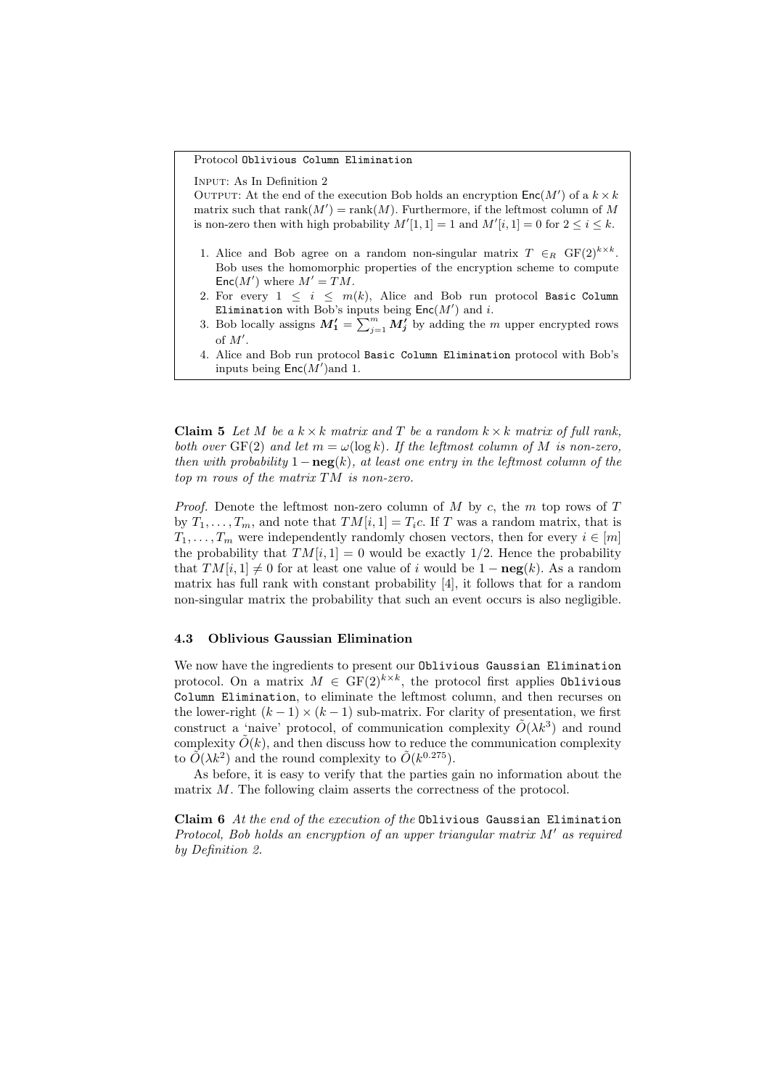Protocol Oblivious Column Elimination

Input: As In Definition 2

OUTPUT: At the end of the execution Bob holds an encryption  $\mathsf{Enc}(M')$  of a  $k \times k$ matrix such that  $rank(M') = rank(M)$ . Furthermore, if the leftmost column of M is non-zero then with high probability  $M'[1, 1] = 1$  and  $M'[i, 1] = 0$  for  $2 \le i \le k$ .

- 1. Alice and Bob agree on a random non-singular matrix  $T \in_R \mathbb{GF}(2)^{k \times k}$ . Bob uses the homomorphic properties of the encryption scheme to compute  $\mathsf{Enc}(M')$  where  $M' = TM$ .
- 2. For every  $1 \leq i \leq m(k)$ , Alice and Bob run protocol Basic Column Elimination with Bob's inputs being  $\mathsf{Enc}(M')$  and i.
- 3. Bob locally assigns  $M_1' = \sum_{j=1}^m M_j'$  by adding the m upper encrypted rows of  $M'$ .
- 4. Alice and Bob run protocol Basic Column Elimination protocol with Bob's inputs being  $\mathsf{Enc}(M')$  and 1.

**Claim 5** Let M be a  $k \times k$  matrix and T be a random  $k \times k$  matrix of full rank, both over  $GF(2)$  and let  $m = \omega(\log k)$ . If the leftmost column of M is non-zero, then with probability  $1-\mathbf{neg}(k)$ , at least one entry in the leftmost column of the top m rows of the matrix TM is non-zero.

*Proof.* Denote the leftmost non-zero column of M by c, the m top rows of T by  $T_1, \ldots, T_m$ , and note that  $TM[i, 1] = T_i c$ . If T was a random matrix, that is  $T_1, \ldots, T_m$  were independently randomly chosen vectors, then for every  $i \in [m]$ the probability that  $TM[i, 1] = 0$  would be exactly 1/2. Hence the probability that  $TM[i, 1] \neq 0$  for at least one value of i would be  $1 - neg(k)$ . As a random matrix has full rank with constant probability [4], it follows that for a random non-singular matrix the probability that such an event occurs is also negligible.

### 4.3 Oblivious Gaussian Elimination

We now have the ingredients to present our Oblivious Gaussian Elimination protocol. On a matrix  $M \in GF(2)^{k \times k}$ , the protocol first applies Oblivious Column Elimination, to eliminate the leftmost column, and then recurses on the lower-right  $(k - 1) \times (k - 1)$  sub-matrix. For clarity of presentation, we first construct a 'naive' protocol, of communication complexity  $\tilde{O}(\lambda k^3)$  and round complexity  $\tilde{O}(k)$ , and then discuss how to reduce the communication complexity to  $\tilde{O}(\lambda k^2)$  and the round complexity to  $\tilde{O}(k^{0.275})$ .

As before, it is easy to verify that the parties gain no information about the matrix M. The following claim asserts the correctness of the protocol.

Claim 6 At the end of the execution of the Oblivious Gaussian Elimination Protocol, Bob holds an encryption of an upper triangular matrix  $M'$  as required by Definition 2.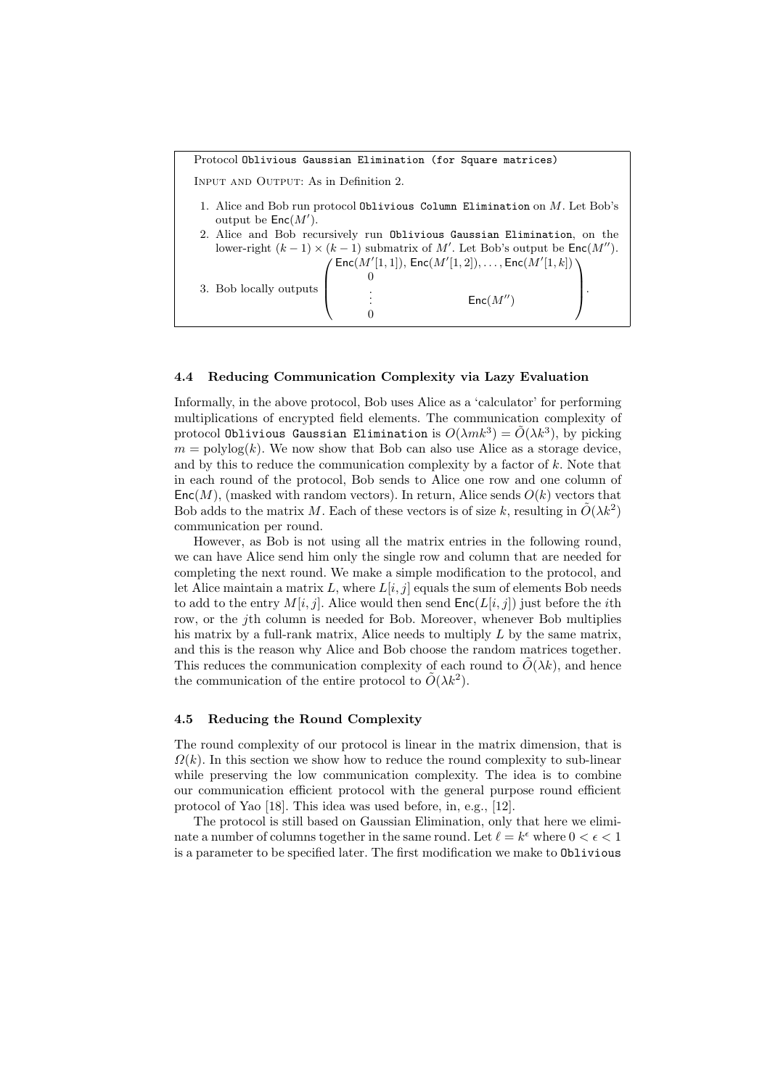|                                                                                                                 | Protocol Oblivious Gaussian Elimination (for Square matrices) |  |
|-----------------------------------------------------------------------------------------------------------------|---------------------------------------------------------------|--|
| INPUT AND OUTPUT: As in Definition 2.                                                                           |                                                               |  |
| 1. Alice and Bob run protocol Oblivious Column Elimination on $M$ . Let Bob's<br>output be $\mathsf{Enc}(M')$ . |                                                               |  |
| 2. Alice and Bob recursively run Oblivious Gaussian Elimination, on the                                         |                                                               |  |
| lower-right $(k-1) \times (k-1)$ submatrix of M'. Let Bob's output be $Enc(M'')$ .                              |                                                               |  |
| $\Big(\frac{\mathsf{Enc}(M'[1,1]),\, \mathsf{Enc}(M'[1,2]),\ldots,\mathsf{Enc}(\tilde{M}'[1,k])}{0}\Big)$       |                                                               |  |
| 3. Bob locally outputs $\Big\}$                                                                                 | Enc(M'')                                                      |  |

#### 4.4 Reducing Communication Complexity via Lazy Evaluation

Informally, in the above protocol, Bob uses Alice as a 'calculator' for performing multiplications of encrypted field elements. The communication complexity of protocol Oblivious Gaussian Elimination is  $O(\lambda m k^3) = \tilde O(\lambda k^3)$ , by picking  $m = \text{polylog}(k)$ . We now show that Bob can also use Alice as a storage device, and by this to reduce the communication complexity by a factor of  $k$ . Note that in each round of the protocol, Bob sends to Alice one row and one column of  $Enc(M)$ , (masked with random vectors). In return, Alice sends  $O(k)$  vectors that Bob adds to the matrix M. Each of these vectors is of size k, resulting in  $\tilde{O}(\lambda k^2)$ communication per round.

However, as Bob is not using all the matrix entries in the following round, we can have Alice send him only the single row and column that are needed for completing the next round. We make a simple modification to the protocol, and let Alice maintain a matrix L, where  $L[i, j]$  equals the sum of elements Bob needs to add to the entry  $M[i, j]$ . Alice would then send  $\mathsf{Enc}(L[i, j])$  just before the *i*th row, or the *j*th column is needed for Bob. Moreover, whenever Bob multiplies his matrix by a full-rank matrix. Alice needs to multiply  $L$  by the same matrix, and this is the reason why Alice and Bob choose the random matrices together. This reduces the communication complexity of each round to  $\tilde{O}(\lambda k)$ , and hence the communication of the entire protocol to  $\tilde{O}(\lambda k^2)$ .

## 4.5 Reducing the Round Complexity

The round complexity of our protocol is linear in the matrix dimension, that is  $\Omega(k)$ . In this section we show how to reduce the round complexity to sub-linear while preserving the low communication complexity. The idea is to combine our communication efficient protocol with the general purpose round efficient protocol of Yao [18]. This idea was used before, in, e.g., [12].

The protocol is still based on Gaussian Elimination, only that here we eliminate a number of columns together in the same round. Let  $\ell = k^{\epsilon}$  where  $0 < \epsilon < 1$ is a parameter to be specified later. The first modification we make to Oblivious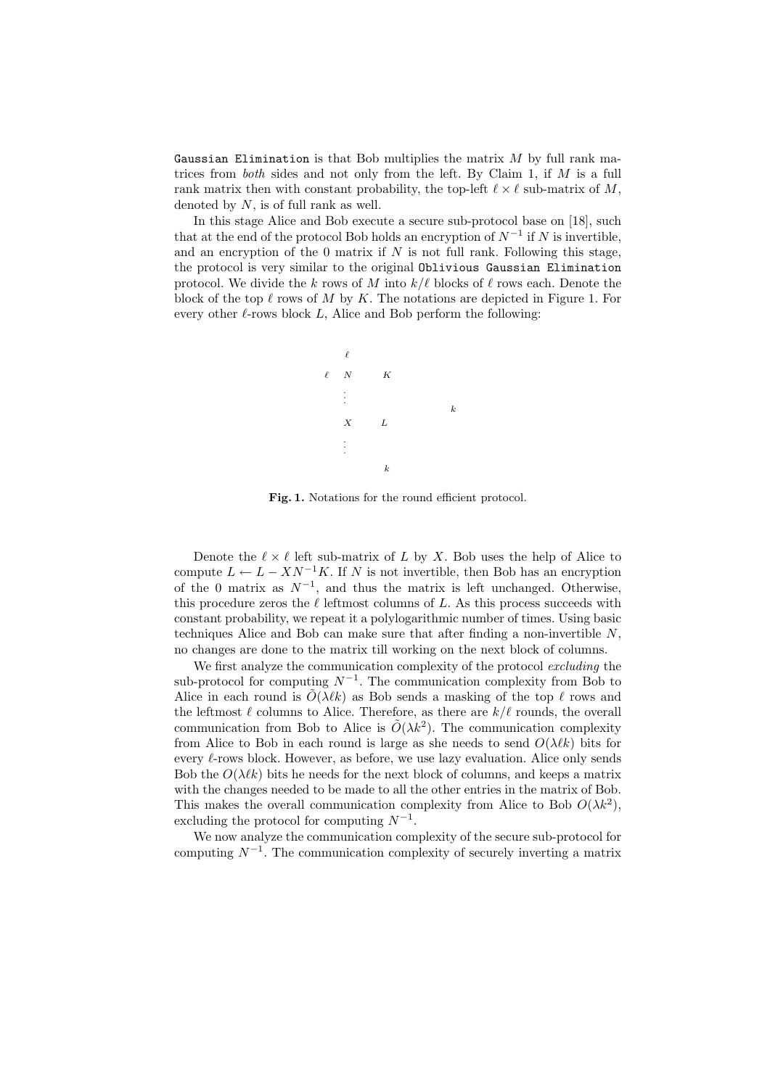Gaussian Elimination is that Bob multiplies the matrix  $M$  by full rank matrices from  $both$  sides and not only from the left. By Claim 1, if  $M$  is a full rank matrix then with constant probability, the top-left  $\ell \times \ell$  sub-matrix of M, denoted by  $N$ , is of full rank as well.

In this stage Alice and Bob execute a secure sub-protocol base on [18], such that at the end of the protocol Bob holds an encryption of  $N^{-1}$  if N is invertible, and an encryption of the  $0$  matrix if  $N$  is not full rank. Following this stage, the protocol is very similar to the original Oblivious Gaussian Elimination protocol. We divide the k rows of M into  $k/\ell$  blocks of  $\ell$  rows each. Denote the block of the top  $\ell$  rows of M by K. The notations are depicted in Figure 1. For every other  $\ell$ -rows block L, Alice and Bob perform the following:



Fig. 1. Notations for the round efficient protocol.

Denote the  $\ell \times \ell$  left sub-matrix of L by X. Bob uses the help of Alice to compute  $L \leftarrow L - XN^{-1}K$ . If N is not invertible, then Bob has an encryption of the 0 matrix as  $N^{-1}$ , and thus the matrix is left unchanged. Otherwise, this procedure zeros the  $\ell$  leftmost columns of  $L$ . As this process succeeds with constant probability, we repeat it a polylogarithmic number of times. Using basic techniques Alice and Bob can make sure that after finding a non-invertible  $N$ . no changes are done to the matrix till working on the next block of columns.

We first analyze the communication complexity of the protocol excluding the sub-protocol for computing  $N^{-1}$ . The communication complexity from Bob to Alice in each round is  $O(\lambda \ell k)$  as Bob sends a masking of the top  $\ell$  rows and the leftmost  $\ell$  columns to Alice. Therefore, as there are  $k/\ell$  rounds, the overall communication from Bob to Alice is  $\tilde{O}(\lambda k^2)$ . The communication complexity from Alice to Bob in each round is large as she needs to send  $O(\lambda \ell k)$  bits for every  $\ell$ -rows block. However, as before, we use lazy evaluation. Alice only sends Bob the  $O(\lambda \ell k)$  bits he needs for the next block of columns, and keeps a matrix with the changes needed to be made to all the other entries in the matrix of Bob. This makes the overall communication complexity from Alice to Bob  $O(\lambda k^2)$ , excluding the protocol for computing  $N^{-1}$ .

We now analyze the communication complexity of the secure sub-protocol for computing  $N^{-1}$ . The communication complexity of securely inverting a matrix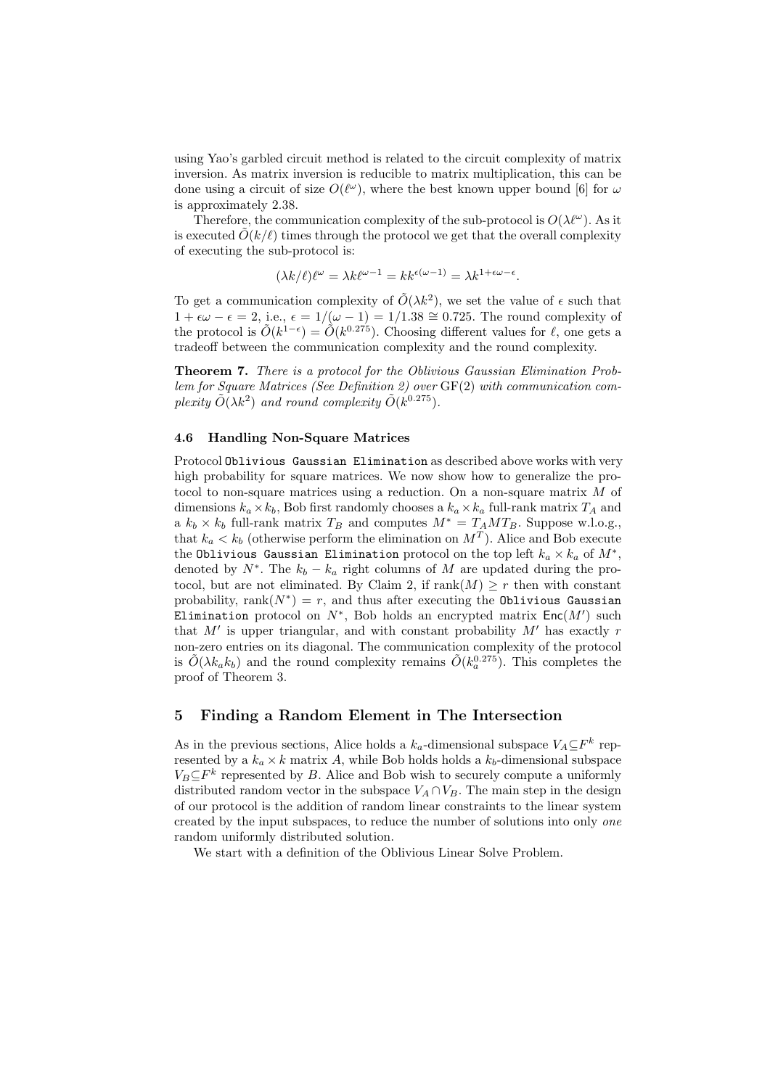using Yao's garbled circuit method is related to the circuit complexity of matrix inversion. As matrix inversion is reducible to matrix multiplication, this can be done using a circuit of size  $O(\ell^{\omega})$ , where the best known upper bound [6] for  $\omega$ is approximately 2.38.

Therefore, the communication complexity of the sub-protocol is  $O(\lambda \ell^{\omega})$ . As it is executed  $O(k/\ell)$  times through the protocol we get that the overall complexity of executing the sub-protocol is:

$$
(\lambda k/\ell)\ell^{\omega} = \lambda k\ell^{\omega - 1} = k k^{\epsilon(\omega - 1)} = \lambda k^{1 + \epsilon \omega - \epsilon}.
$$

To get a communication complexity of  $\tilde{O}(\lambda k^2)$ , we set the value of  $\epsilon$  such that  $1 + \epsilon\omega - \epsilon = 2$ , i.e.,  $\epsilon = 1/(\omega - 1) = 1/1.38 \approx 0.725$ . The round complexity of the protocol is  $\tilde{O}(k^{1-\epsilon}) = \tilde{O}(k^{0.275})$ . Choosing different values for  $\ell$ , one gets a tradeoff between the communication complexity and the round complexity.

Theorem 7. There is a protocol for the Oblivious Gaussian Elimination Problem for Square Matrices (See Definition 2) over GF(2) with communication complexity  $\tilde{O}(\lambda k^2)$  and round complexity  $\tilde{O}(k^{0.275})$ .

### 4.6 Handling Non-Square Matrices

Protocol Oblivious Gaussian Elimination as described above works with very high probability for square matrices. We now show how to generalize the protocol to non-square matrices using a reduction. On a non-square matrix M of dimensions  $k_a \times k_b$ , Bob first randomly chooses a  $k_a \times k_a$  full-rank matrix  $T_A$  and a  $k_b \times k_b$  full-rank matrix  $T_B$  and computes  $M^* = T_A M T_B$ . Suppose w.l.o.g., that  $k_a < k_b$  (otherwise perform the elimination on  $M<sup>T</sup>$ ). Alice and Bob execute the Oblivious Gaussian Elimination protocol on the top left  $k_a \times k_a$  of  $M^*$ , denoted by  $N^*$ . The  $k_b - k_a$  right columns of M are updated during the protocol, but are not eliminated. By Claim 2, if  $rank(M) \geq r$  then with constant probability,  $rank(N^*) = r$ , and thus after executing the Oblivious Gaussian Elimination protocol on  $N^*$ , Bob holds an encrypted matrix  $\mathsf{Enc}(M')$  such that  $M'$  is upper triangular, and with constant probability  $M'$  has exactly r non-zero entries on its diagonal. The communication complexity of the protocol is  $\tilde{O}(\lambda k_a k_b)$  and the round complexity remains  $\tilde{O}(k_a^{0.275})$ . This completes the proof of Theorem 3.

## 5 Finding a Random Element in The Intersection

As in the previous sections, Alice holds a  $k_a$ -dimensional subspace  $V_A \subseteq F^k$  represented by a  $k_a \times k$  matrix A, while Bob holds holds a  $k_b$ -dimensional subspace  $V_B \subseteq F^k$  represented by B. Alice and Bob wish to securely compute a uniformly distributed random vector in the subspace  $V_A \cap V_B$ . The main step in the design of our protocol is the addition of random linear constraints to the linear system created by the input subspaces, to reduce the number of solutions into only one random uniformly distributed solution.

We start with a definition of the Oblivious Linear Solve Problem.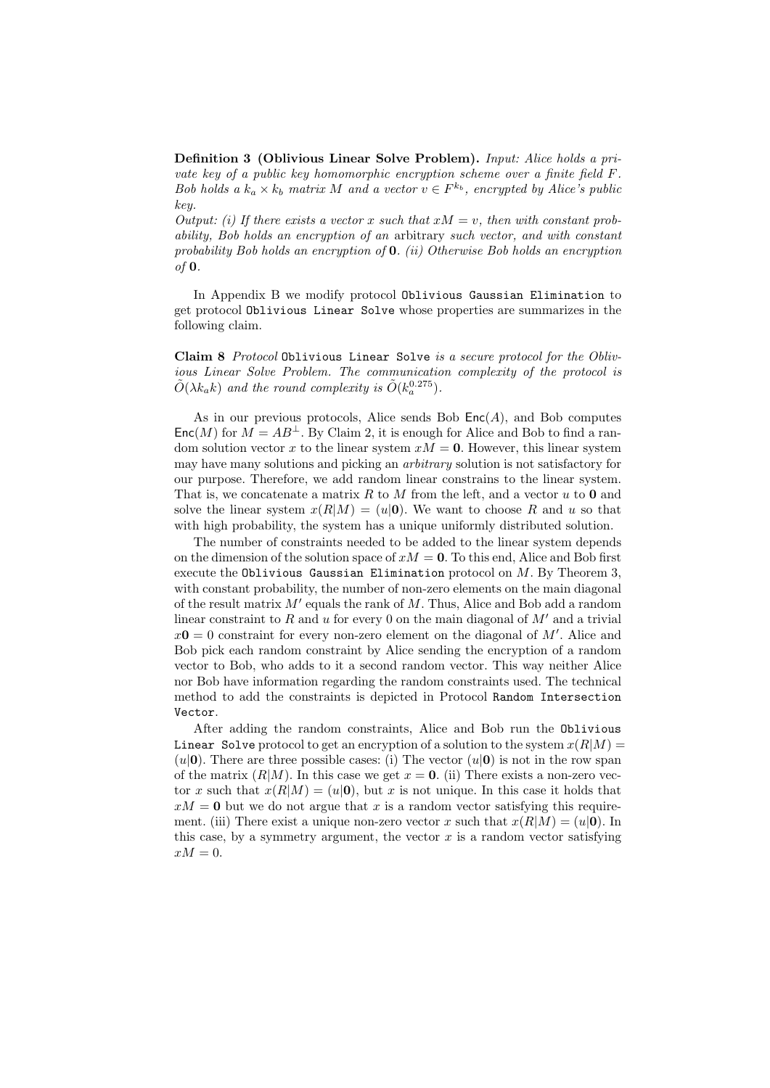Definition 3 (Oblivious Linear Solve Problem). Input: Alice holds a private key of a public key homomorphic encryption scheme over a finite field F. Bob holds a  $k_a \times k_b$  matrix M and a vector  $v \in F^{k_b}$ , encrypted by Alice's public key.

Output: (i) If there exists a vector x such that  $xM = v$ , then with constant probability, Bob holds an encryption of an arbitrary such vector, and with constant probability Bob holds an encryption of  $0.$  (ii) Otherwise Bob holds an encryption of 0.

In Appendix B we modify protocol Oblivious Gaussian Elimination to get protocol Oblivious Linear Solve whose properties are summarizes in the following claim.

Claim 8 Protocol Oblivious Linear Solve is a secure protocol for the Oblivious Linear Solve Problem. The communication complexity of the protocol is  $\tilde{O}(\lambda k_{a}k)$  and the round complexity is  $\tilde{O}(k_{a}^{0.275})$ .

As in our previous protocols, Alice sends Bob  $Enc(A)$ , and Bob computes  $\mathsf{Enc}(M)$  for  $M = AB^{\perp}$ . By Claim 2, it is enough for Alice and Bob to find a random solution vector x to the linear system  $xM = 0$ . However, this linear system may have many solutions and picking an *arbitrary* solution is not satisfactory for our purpose. Therefore, we add random linear constrains to the linear system. That is, we concatenate a matrix  $R$  to  $M$  from the left, and a vector  $u$  to  $\mathbf{0}$  and solve the linear system  $x(R|M) = (u|\mathbf{0})$ . We want to choose R and u so that with high probability, the system has a unique uniformly distributed solution.

The number of constraints needed to be added to the linear system depends on the dimension of the solution space of  $xM = 0$ . To this end, Alice and Bob first execute the Oblivious Gaussian Elimination protocol on  $M$ . By Theorem 3, with constant probability, the number of non-zero elements on the main diagonal of the result matrix  $M'$  equals the rank of  $M$ . Thus, Alice and Bob add a random linear constraint to R and u for every 0 on the main diagonal of  $M'$  and a trivial  $x\mathbf{0} = 0$  constraint for every non-zero element on the diagonal of M'. Alice and Bob pick each random constraint by Alice sending the encryption of a random vector to Bob, who adds to it a second random vector. This way neither Alice nor Bob have information regarding the random constraints used. The technical method to add the constraints is depicted in Protocol Random Intersection Vector.

After adding the random constraints, Alice and Bob run the Oblivious Linear Solve protocol to get an encryption of a solution to the system  $x(R|M)$  =  $(u|\mathbf{0})$ . There are three possible cases: (i) The vector  $(u|\mathbf{0})$  is not in the row span of the matrix  $(R|M)$ . In this case we get  $x = 0$ . (ii) There exists a non-zero vector x such that  $x(R|M) = (u|0)$ , but x is not unique. In this case it holds that  $xM = 0$  but we do not argue that x is a random vector satisfying this requirement. (iii) There exist a unique non-zero vector x such that  $x(R|M) = (u|0)$ . In this case, by a symmetry argument, the vector  $x$  is a random vector satisfying  $xM = 0.$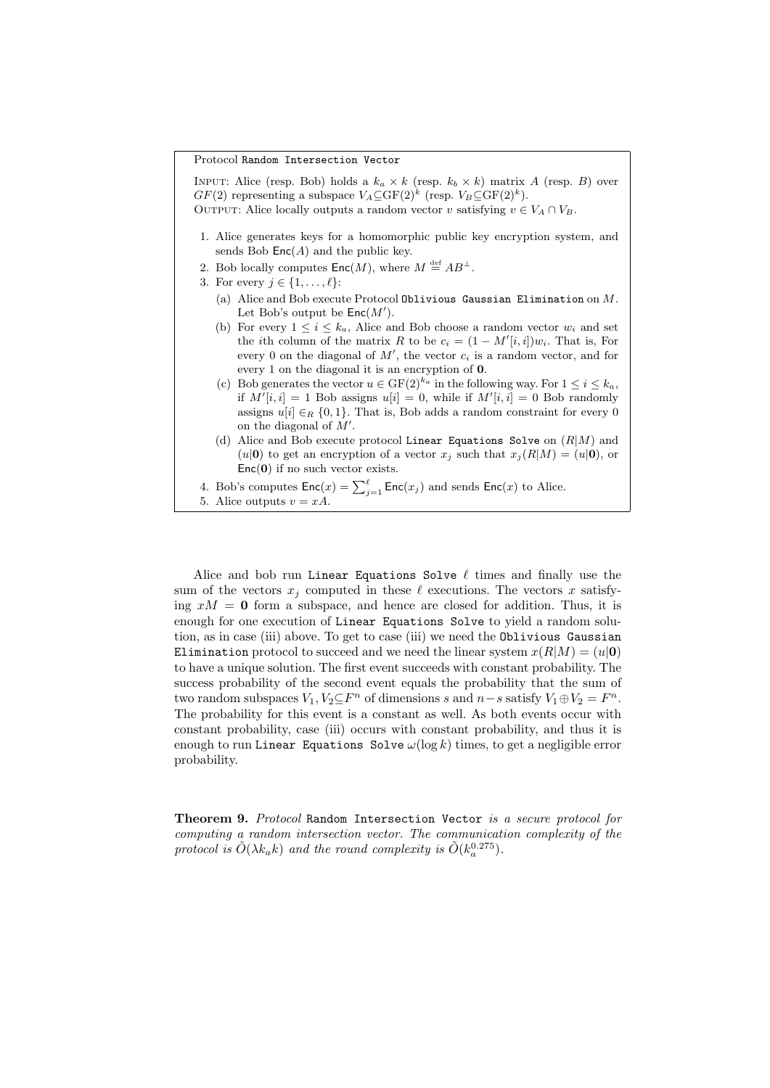Protocol Random Intersection Vector

INPUT: Alice (resp. Bob) holds a  $k_a \times k$  (resp.  $k_b \times k$ ) matrix A (resp. B) over  $GF(2)$  representing a subspace  $V_A \subseteq GF(2)^k$  (resp.  $V_B \subseteq GF(2)^k$ ). OUTPUT: Alice locally outputs a random vector v satisfying  $v \in V_A \cap V_B$ . 1. Alice generates keys for a homomorphic public key encryption system, and sends Bob  $Enc(A)$  and the public key. 2. Bob locally computes  $\mathsf{Enc}(M)$ , where  $M \stackrel{\text{def}}{=} AB^{\perp}$ . 3. For every  $j \in \{1, \ldots, \ell\}$ : (a) Alice and Bob execute Protocol Oblivious Gaussian Elimination on M. Let Bob's output be  $\mathsf{Enc}(M')$ . (b) For every  $1 \leq i \leq k_a$ , Alice and Bob choose a random vector  $w_i$  and set the *i*th column of the matrix R to be  $c_i = (1 - M'[i,i])w_i$ . That is, For every 0 on the diagonal of  $M'$ , the vector  $c_i$  is a random vector, and for every 1 on the diagonal it is an encryption of 0. (c) Bob generates the vector  $u \in GF(2)^{k_a}$  in the following way. For  $1 \leq i \leq k_a$ , if  $M'[i, i] = 1$  Bob assigns  $u[i] = 0$ , while if  $M'[i, i] = 0$  Bob randomly assigns  $u[i] \in_R \{0,1\}$ . That is, Bob adds a random constraint for every 0 on the diagonal of  $M'$ . (d) Alice and Bob execute protocol Linear Equations Solve on  $(R|M)$  and  $(u|\mathbf{0})$  to get an encryption of a vector  $x_i$  such that  $x_i(R|M) = (u|\mathbf{0})$ , or  $Enc(0)$  if no such vector exists. 4. Bob's computes  $\mathsf{Enc}(x) = \sum_{j=1}^{\ell} \mathsf{Enc}(x_j)$  and sends  $\mathsf{Enc}(x)$  to Alice.

Alice and bob run Linear Equations Solve  $\ell$  times and finally use the sum of the vectors  $x_i$  computed in these  $\ell$  executions. The vectors x satisfying  $xM = 0$  form a subspace, and hence are closed for addition. Thus, it is enough for one execution of Linear Equations Solve to yield a random solution, as in case (iii) above. To get to case (iii) we need the Oblivious Gaussian Elimination protocol to succeed and we need the linear system  $x(R|M) = (u|\mathbf{0})$ to have a unique solution. The first event succeeds with constant probability. The success probability of the second event equals the probability that the sum of two random subspaces  $V_1, V_2 \subseteq F^n$  of dimensions s and  $n-s$  satisfy  $V_1 \oplus V_2 = F^n$ . The probability for this event is a constant as well. As both events occur with constant probability, case (iii) occurs with constant probability, and thus it is enough to run Linear Equations Solve  $\omega(\log k)$  times, to get a negligible error probability.

Theorem 9. Protocol Random Intersection Vector is a secure protocol for computing a random intersection vector. The communication complexity of the protocol is  $\tilde{O}(\lambda k_a k)$  and the round complexity is  $\tilde{O}(k_a^{0.275})$ .

<sup>5.</sup> Alice outputs  $v = xA$ .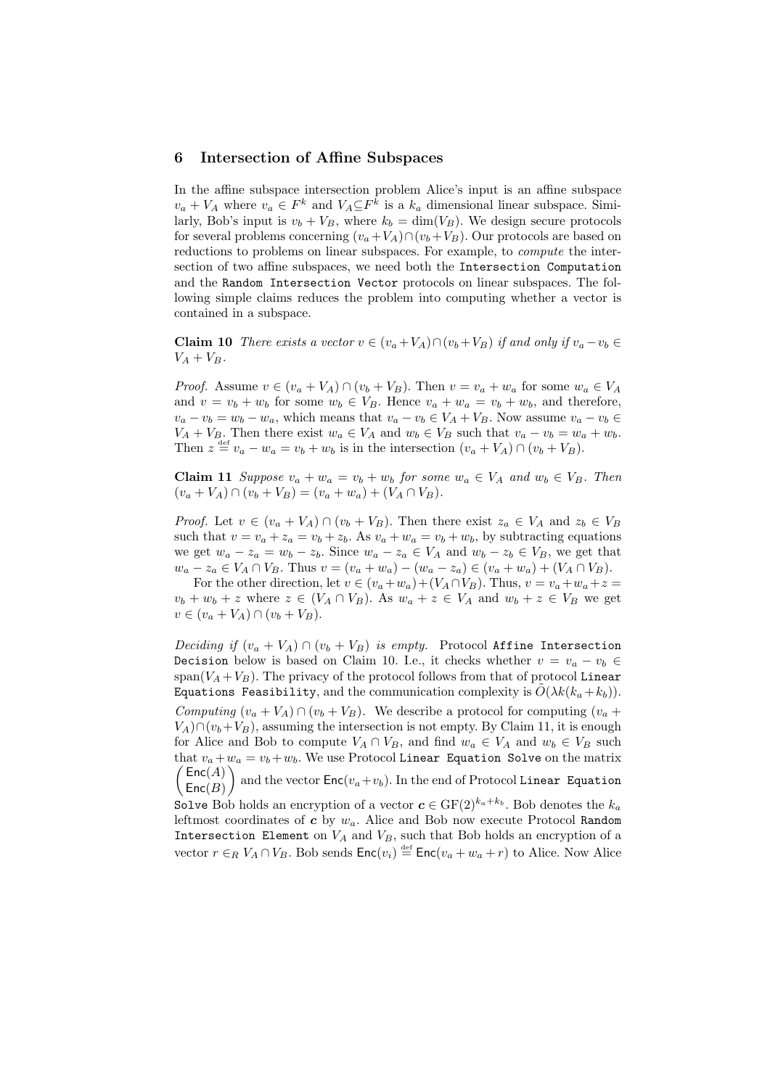## 6 Intersection of Affine Subspaces

In the affine subspace intersection problem Alice's input is an affine subspace  $v_a + V_A$  where  $v_a \in F^k$  and  $V_A \subseteq F^k$  is a  $k_a$  dimensional linear subspace. Similarly, Bob's input is  $v_b + V_B$ , where  $k_b = \dim(V_B)$ . We design secure protocols for several problems concerning  $(v_a+V_A) \cap (v_b+V_B)$ . Our protocols are based on reductions to problems on linear subspaces. For example, to compute the intersection of two affine subspaces, we need both the Intersection Computation and the Random Intersection Vector protocols on linear subspaces. The following simple claims reduces the problem into computing whether a vector is contained in a subspace.

**Claim 10** There exists a vector  $v \in (v_a + V_A) \cap (v_b + V_B)$  if and only if  $v_a - v_b \in$  $V_A + V_B$ .

*Proof.* Assume  $v \in (v_a + V_A) \cap (v_b + V_B)$ . Then  $v = v_a + w_a$  for some  $w_a \in V_A$ and  $v = v_b + w_b$  for some  $w_b \in V_B$ . Hence  $v_a + w_a = v_b + w_b$ , and therefore,  $v_a - v_b = w_b - w_a$ , which means that  $v_a - v_b \in V_A + V_B$ . Now assume  $v_a - v_b \in V_A$  $V_A + V_B$ . Then there exist  $w_a \in V_A$  and  $w_b \in V_B$  such that  $v_a - v_b = w_a + w_b$ . Then  $z \stackrel{\text{def}}{=} v_a - w_a = v_b + w_b$  is in the intersection  $(v_a + V_A) \cap (v_b + V_B)$ .

Claim 11 Suppose  $v_a + w_a = v_b + w_b$  for some  $w_a \in V_A$  and  $w_b \in V_B$ . Then  $(v_a + V_A) \cap (v_b + V_B) = (v_a + w_a) + (V_A \cap V_B).$ 

*Proof.* Let  $v \in (v_a + V_A) \cap (v_b + V_B)$ . Then there exist  $z_a \in V_A$  and  $z_b \in V_B$ such that  $v = v_a + z_a = v_b + z_b$ . As  $v_a + w_a = v_b + w_b$ , by subtracting equations we get  $w_a - z_a = w_b - z_b$ . Since  $w_a - z_a \in V_A$  and  $w_b - z_b \in V_B$ , we get that  $w_a - z_a \in V_A \cap V_B$ . Thus  $v = (v_a + w_a) - (w_a - z_a) \in (v_a + w_a) + (V_A \cap V_B)$ .

For the other direction, let  $v \in (v_a+w_a)+(V_A\cap V_B)$ . Thus,  $v=v_a+w_a+z=$  $v_b + w_b + z$  where  $z \in (V_A \cap V_B)$ . As  $w_a + z \in V_A$  and  $w_b + z \in V_B$  we get  $v \in (v_a + V_A) \cap (v_b + V_B).$ 

Deciding if  $(v_a + V_A) \cap (v_b + V_B)$  is empty. Protocol Affine Intersection Decision below is based on Claim 10. I.e., it checks whether  $v = v_a - v_b \in$ span( $V_A + V_B$ ). The privacy of the protocol follows from that of protocol Linear Equations Feasibility, and the communication complexity is  $O(\lambda k(k_a + k_b)).$ Computing  $(v_a + V_A) \cap (v_b + V_B)$ . We describe a protocol for computing  $(v_a + V_A)$  $V_A$ )∩( $v_b+V_B$ ), assuming the intersection is not empty. By Claim 11, it is enough for Alice and Bob to compute  $V_A \cap V_B$ , and find  $w_a \in V_A$  and  $w_b \in V_B$  such that  $v_a + w_a = v_b + w_b$ . We use Protocol Linear Equation Solve on the matrix  $\int$  Enc $(A)$  $Enc(B)$  $\setminus$ and the vector  $\mathsf{Enc}(v_a+v_b)$ . In the end of Protocol Linear Equation Solve Bob holds an encryption of a vector  $\boldsymbol{c} \in \mathrm{GF}(2)^{k_a + k_b}$ . Bob denotes the  $k_a$ leftmost coordinates of  $c$  by  $w_a$ . Alice and Bob now execute Protocol Random

Intersection Element on  $V_A$  and  $V_B$ , such that Bob holds an encryption of a vector  $r \in_R V_A \cap V_B$ . Bob sends  $\mathsf{Enc}(v_i) \stackrel{\text{def}}{=} \mathsf{Enc}(v_a + w_a + r)$  to Alice. Now Alice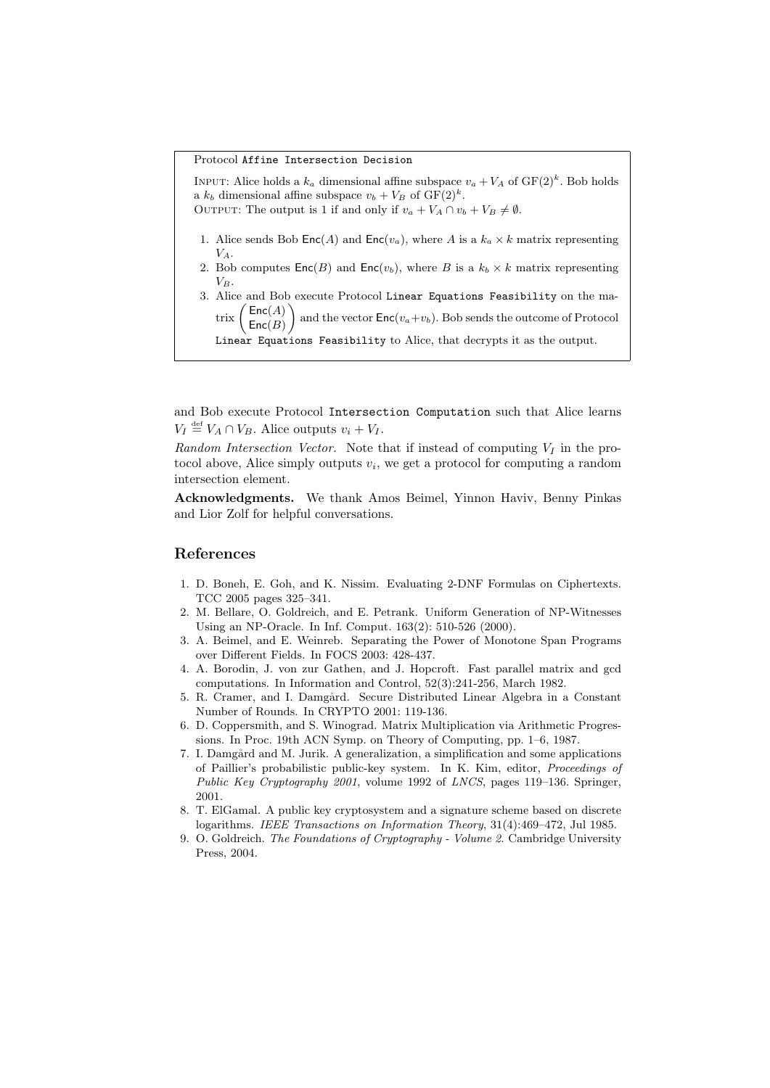#### Protocol Affine Intersection Decision

INPUT: Alice holds a  $k_a$  dimensional affine subspace  $v_a + V_A$  of  $GF(2)^k$ . Bob holds a  $k_b$  dimensional affine subspace  $v_b + V_B$  of  $GF(2)^k$ . OUTPUT: The output is 1 if and only if  $v_a + V_A \cap v_b + V_B \neq \emptyset$ .

- 1. Alice sends Bob  $\mathsf{Enc}(A)$  and  $\mathsf{Enc}(v_a)$ , where A is a  $k_a \times k$  matrix representing  $V_A$ .
- 2. Bob computes  $Enc(B)$  and  $Enc(v<sub>b</sub>)$ , where B is a  $k<sub>b</sub> \times k$  matrix representing  $V_{B}$ .
- 3. Alice and Bob execute Protocol Linear Equations Feasibility on the ma $trix \int \text{Enc}(A)$  $Enc(B)$ and the vector  $Enc(v_a+v_b)$ . Bob sends the outcome of Protocol

Linear Equations Feasibility to Alice, that decrypts it as the output.

and Bob execute Protocol Intersection Computation such that Alice learns  $V_I \stackrel{\text{def}}{=} V_A \cap V_B$ . Alice outputs  $v_i + V_I$ .

Random Intersection Vector. Note that if instead of computing  $V_I$  in the protocol above, Alice simply outputs  $v_i$ , we get a protocol for computing a random intersection element.

Acknowledgments. We thank Amos Beimel, Yinnon Haviv, Benny Pinkas and Lior Zolf for helpful conversations.

## References

- 1. D. Boneh, E. Goh, and K. Nissim. Evaluating 2-DNF Formulas on Ciphertexts. TCC 2005 pages 325–341.
- 2. M. Bellare, O. Goldreich, and E. Petrank. Uniform Generation of NP-Witnesses Using an NP-Oracle. In Inf. Comput. 163(2): 510-526 (2000).
- 3. A. Beimel, and E. Weinreb. Separating the Power of Monotone Span Programs over Different Fields. In FOCS 2003: 428-437.
- 4. A. Borodin, J. von zur Gathen, and J. Hopcroft. Fast parallel matrix and gcd computations. In Information and Control, 52(3):241-256, March 1982.
- 5. R. Cramer, and I. Damgård. Secure Distributed Linear Algebra in a Constant Number of Rounds. In CRYPTO 2001: 119-136.
- 6. D. Coppersmith, and S. Winograd. Matrix Multiplication via Arithmetic Progressions. In Proc. 19th ACN Symp. on Theory of Computing, pp. 1–6, 1987.
- 7. I. Damgård and M. Jurik. A generalization, a simplification and some applications of Paillier's probabilistic public-key system. In K. Kim, editor, Proceedings of Public Key Cryptography 2001, volume 1992 of LNCS, pages 119–136. Springer, 2001.
- 8. T. ElGamal. A public key cryptosystem and a signature scheme based on discrete logarithms. IEEE Transactions on Information Theory, 31(4):469–472, Jul 1985.
- 9. O. Goldreich. The Foundations of Cryptography Volume 2. Cambridge University Press, 2004.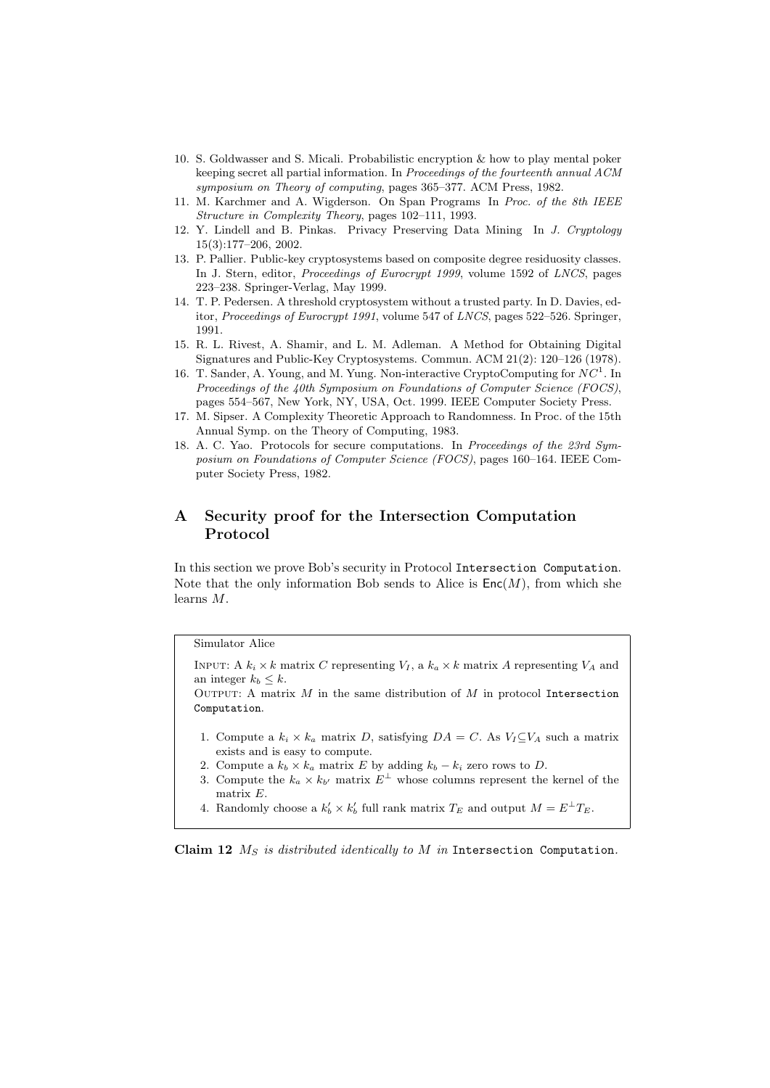- 10. S. Goldwasser and S. Micali. Probabilistic encryption & how to play mental poker keeping secret all partial information. In Proceedings of the fourteenth annual ACM symposium on Theory of computing, pages 365–377. ACM Press, 1982.
- 11. M. Karchmer and A. Wigderson. On Span Programs In Proc. of the 8th IEEE Structure in Complexity Theory, pages 102–111, 1993.
- 12. Y. Lindell and B. Pinkas. Privacy Preserving Data Mining In J. Cryptology 15(3):177–206, 2002.
- 13. P. Pallier. Public-key cryptosystems based on composite degree residuosity classes. In J. Stern, editor, Proceedings of Eurocrypt 1999, volume 1592 of LNCS, pages 223–238. Springer-Verlag, May 1999.
- 14. T. P. Pedersen. A threshold cryptosystem without a trusted party. In D. Davies, editor, Proceedings of Eurocrypt 1991, volume 547 of LNCS, pages 522–526. Springer, 1991.
- 15. R. L. Rivest, A. Shamir, and L. M. Adleman. A Method for Obtaining Digital Signatures and Public-Key Cryptosystems. Commun. ACM 21(2): 120–126 (1978).
- 16. T. Sander, A. Young, and M. Yung. Non-interactive CryptoComputing for  $NC<sup>1</sup>$ . In Proceedings of the 40th Symposium on Foundations of Computer Science (FOCS), pages 554–567, New York, NY, USA, Oct. 1999. IEEE Computer Society Press.
- 17. M. Sipser. A Complexity Theoretic Approach to Randomness. In Proc. of the 15th Annual Symp. on the Theory of Computing, 1983.
- 18. A. C. Yao. Protocols for secure computations. In Proceedings of the 23rd Symposium on Foundations of Computer Science (FOCS), pages 160–164. IEEE Computer Society Press, 1982.

## A Security proof for the Intersection Computation Protocol

In this section we prove Bob's security in Protocol Intersection Computation. Note that the only information Bob sends to Alice is  $\mathsf{Enc}(M)$ , from which she learns M.

## Simulator Alice

INPUT: A  $k_i \times k$  matrix C representing  $V_I$ , a  $k_a \times k$  matrix A representing  $V_A$  and an integer  $k_b \leq k$ .

OUTPUT: A matrix  $M$  in the same distribution of  $M$  in protocol Intersection Computation.

- 1. Compute a  $k_i \times k_a$  matrix D, satisfying  $DA = C$ . As  $V_I \subseteq V_A$  such a matrix exists and is easy to compute.
- 2. Compute a  $k_b \times k_a$  matrix E by adding  $k_b k_i$  zero rows to D.
- 3. Compute the  $k_a \times k_{b'}$  matrix  $E^{\perp}$  whose columns represent the kernel of the matrix E.
- 4. Randomly choose a  $k'_b \times k'_b$  full rank matrix  $T_E$  and output  $M = E^{\perp} T_E$ .

Claim 12  $M_S$  is distributed identically to  $M$  in Intersection Computation.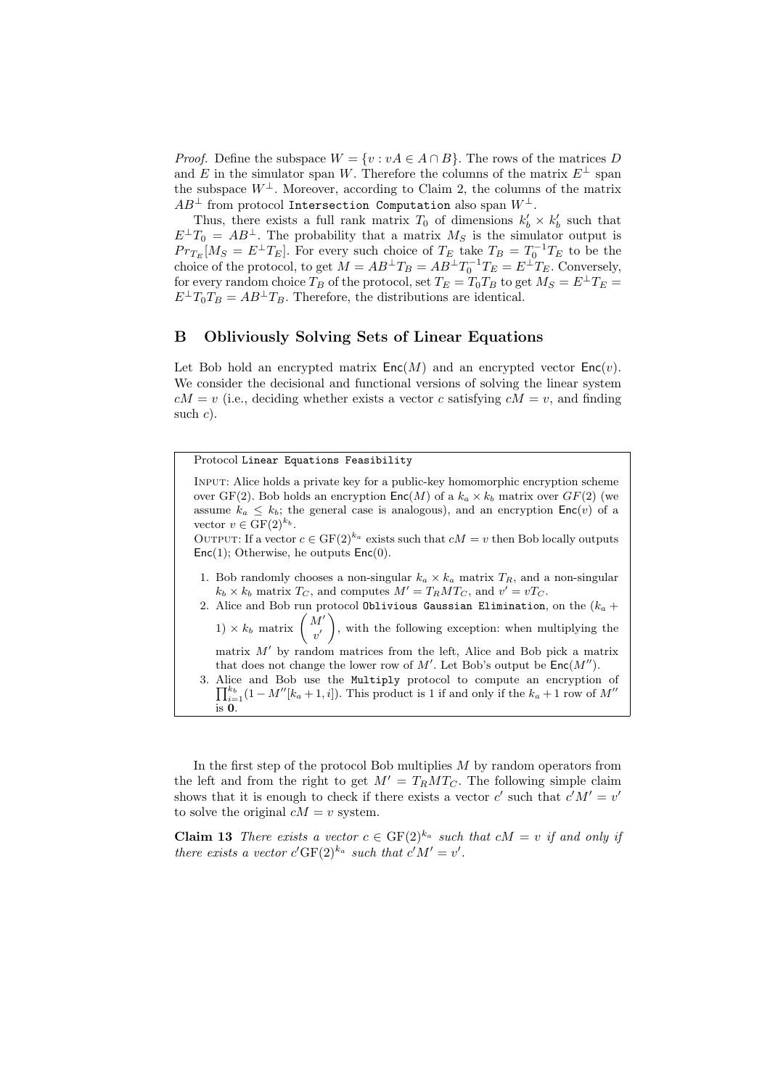*Proof.* Define the subspace  $W = \{v : vA \in A \cap B\}$ . The rows of the matrices D and E in the simulator span W. Therefore the columns of the matrix  $E^{\perp}$  span the subspace  $W^{\perp}$ . Moreover, according to Claim 2, the columns of the matrix  $AB^{\perp}$  from protocol Intersection Computation also span  $W^{\perp}$ .

Thus, there exists a full rank matrix  $T_0$  of dimensions  $k'_b \times k'_b$  such that  $E^{\perp}T_0 = AB^{\perp}$ . The probability that a matrix  $M_S$  is the simulator output is  $Pr_{T_E}[M_S = E^{\perp}T_E]$ . For every such choice of  $T_E$  take  $T_B = T_0^{-1}T_E$  to be the choice of the protocol, to get  $M = AB^{\perp}T_B = AB^{\perp}T_0^{-1}T_E = E^{\perp}T_E$ . Conversely, for every random choice  $T_B$  of the protocol, set  $T_E = T_0T_B$  to get  $M_S = E^{\perp}T_E =$  $E^{\perp}T_0T_B = AB^{\perp}T_B$ . Therefore, the distributions are identical.

## B Obliviously Solving Sets of Linear Equations

Let Bob hold an encrypted matrix  $Enc(M)$  and an encrypted vector  $Enc(v)$ . We consider the decisional and functional versions of solving the linear system  $cM = v$  (i.e., deciding whether exists a vector c satisfying  $cM = v$ , and finding such  $c$ ).

Protocol Linear Equations Feasibility

Input: Alice holds a private key for a public-key homomorphic encryption scheme over GF(2). Bob holds an encryption  $\mathsf{Enc}(M)$  of a  $k_a \times k_b$  matrix over  $GF(2)$  (we assume  $k_a \leq k_b$ ; the general case is analogous), and an encryption  $Enc(v)$  of a vector  $v \in \mathrm{GF}(2)^{k_b}$ . OUTPUT: If a vector  $c \in GF(2)^{k_a}$  exists such that  $cM = v$  then Bob locally outputs  $Enc(1)$ ; Otherwise, he outputs  $Enc(0)$ . 1. Bob randomly chooses a non-singular  $k_a \times k_a$  matrix  $T_R$ , and a non-singular  $k_b \times k_b$  matrix  $T_C$ , and computes  $M' = T_R M T_C$ , and  $v' = vT_C$ . 2. Alice and Bob run protocol Oblivious Gaussian Elimination, on the  $(k_a +$ 1)  $\times k_b$  matrix  $\begin{pmatrix} M' \\ N' \end{pmatrix}$  $\mathcal{M}'(w')$ , with the following exception: when multiplying the matrix  $M'$  by random matrices from the left, Alice and Bob pick a matrix that does not change the lower row of M'. Let Bob's output be  $\mathsf{Enc}(M'')$ .

3. Alice and Bob use the Multiply protocol to compute an encryption of  $\prod_{i=1}^{k_b} (1 - M''[k_a + 1, i])$ . This product is 1 if and only if the  $k_a + 1$  row of  $M''$ is 0.

In the first step of the protocol Bob multiplies  $M$  by random operators from the left and from the right to get  $M' = T_R M T_C$ . The following simple claim shows that it is enough to check if there exists a vector  $c'$  such that  $c'M' = v'$ to solve the original  $cM = v$  system.

**Claim 13** There exists a vector  $c \in GF(2)^{k_a}$  such that  $cM = v$  if and only if there exists a vector  $c' \text{GF}(2)^{k_a}$  such that  $c'M' = v'$ .